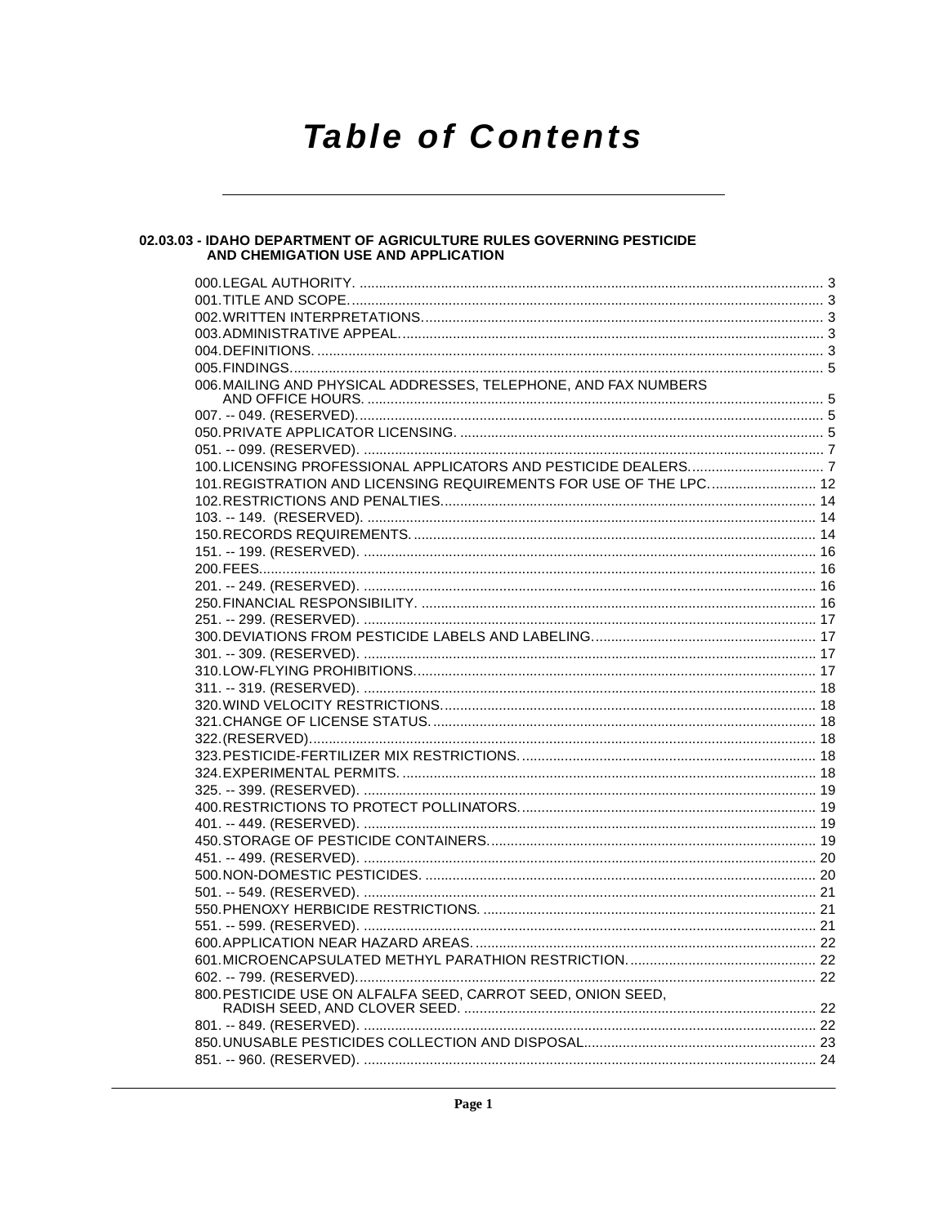# **Table of Contents**

# 02.03.03 - IDAHO DEPARTMENT OF AGRICULTURE RULES GOVERNING PESTICIDE<br>AND CHEMIGATION USE AND APPLICATION

| 006. MAILING AND PHYSICAL ADDRESSES, TELEPHONE, AND FAX NUMBERS    |  |
|--------------------------------------------------------------------|--|
|                                                                    |  |
|                                                                    |  |
|                                                                    |  |
|                                                                    |  |
|                                                                    |  |
| 101. REGISTRATION AND LICENSING REQUIREMENTS FOR USE OF THE LPC 12 |  |
|                                                                    |  |
|                                                                    |  |
|                                                                    |  |
|                                                                    |  |
|                                                                    |  |
|                                                                    |  |
|                                                                    |  |
|                                                                    |  |
|                                                                    |  |
|                                                                    |  |
|                                                                    |  |
|                                                                    |  |
|                                                                    |  |
|                                                                    |  |
|                                                                    |  |
|                                                                    |  |
|                                                                    |  |
|                                                                    |  |
|                                                                    |  |
|                                                                    |  |
|                                                                    |  |
|                                                                    |  |
|                                                                    |  |
|                                                                    |  |
|                                                                    |  |
|                                                                    |  |
|                                                                    |  |
|                                                                    |  |
| 800. PESTICIDE USE ON ALFALFA SEED, CARROT SEED, ONION SEED,       |  |
|                                                                    |  |
|                                                                    |  |
|                                                                    |  |
|                                                                    |  |
|                                                                    |  |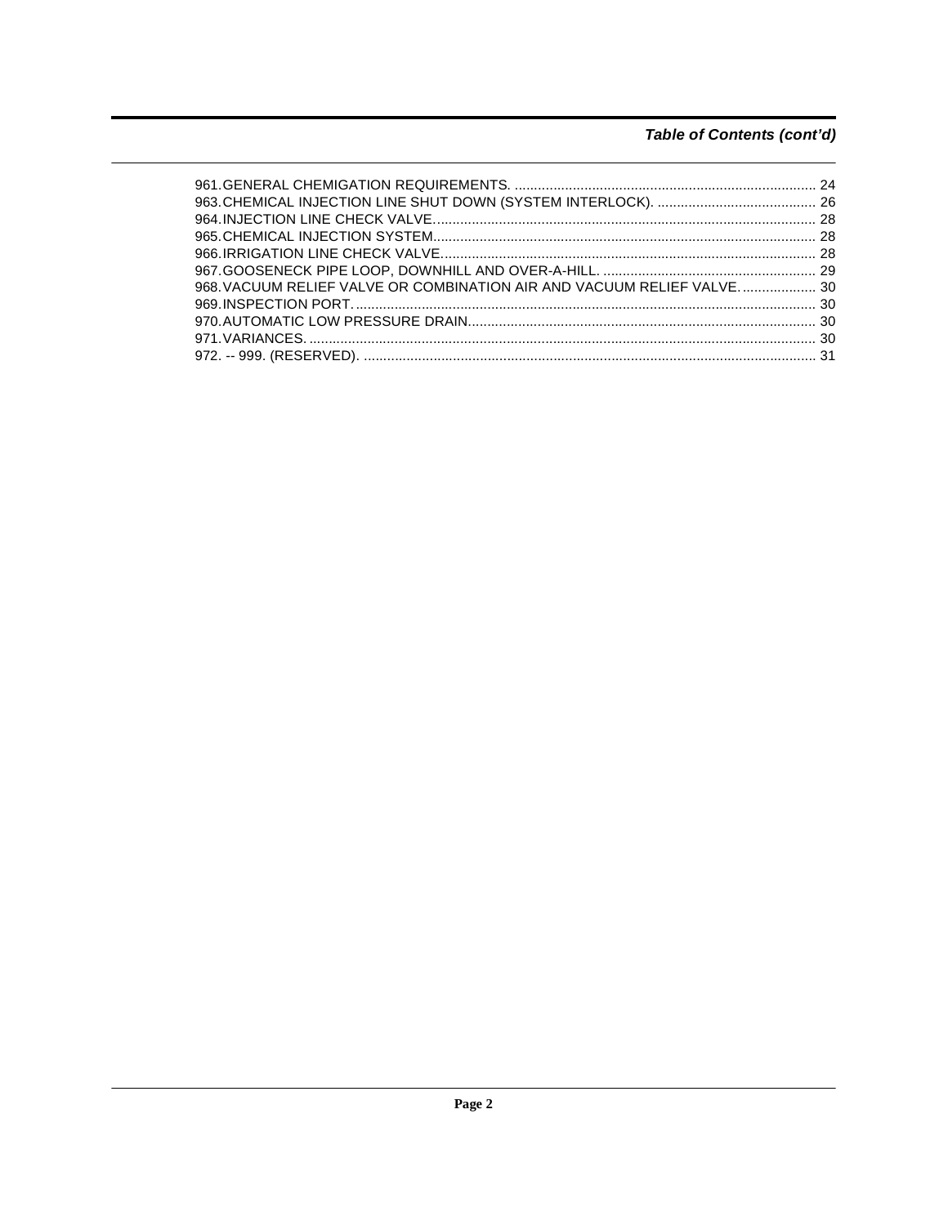## Table of Contents (cont'd)

| 968. VACUUM RELIEF VALVE OR COMBINATION AIR AND VACUUM RELIEF VALVE 30 |  |
|------------------------------------------------------------------------|--|
|                                                                        |  |
|                                                                        |  |
|                                                                        |  |
|                                                                        |  |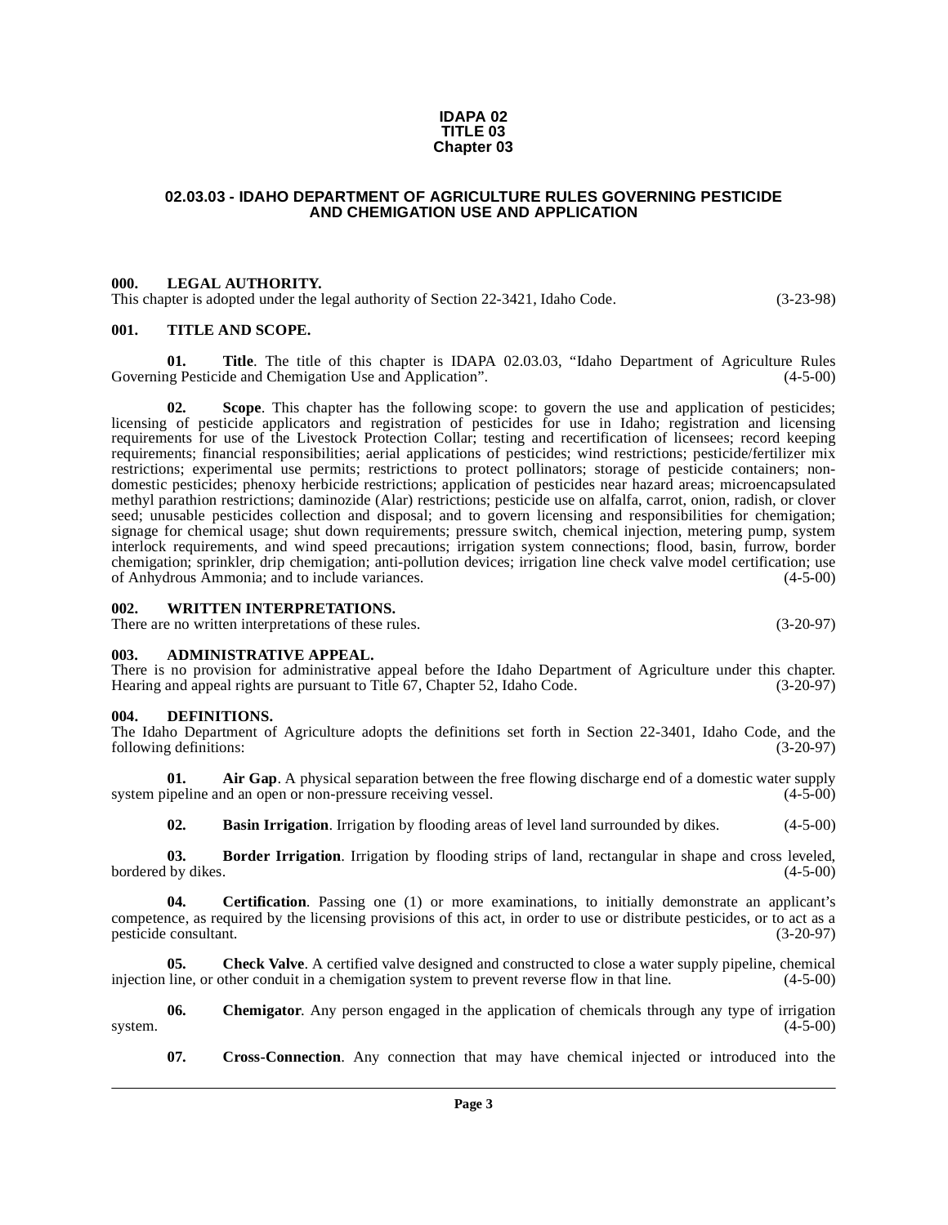#### **IDAPA 02 TITLE 03 Chapter 03**

#### <span id="page-2-0"></span>**02.03.03 - IDAHO DEPARTMENT OF AGRICULTURE RULES GOVERNING PESTICIDE AND CHEMIGATION USE AND APPLICATION**

#### <span id="page-2-1"></span>**000. LEGAL AUTHORITY.**

This chapter is adopted under the legal authority of Section 22-3421, Idaho Code. (3-23-98)

#### <span id="page-2-2"></span>**001. TITLE AND SCOPE.**

**01.** Title. The title of this chapter is IDAPA 02.03.03, "Idaho Department of Agriculture Rules ng Pesticide and Chemigation Use and Application". (4-5-00) Governing Pesticide and Chemigation Use and Application".

**02. Scope**. This chapter has the following scope: to govern the use and application of pesticides; licensing of pesticide applicators and registration of pesticides for use in Idaho; registration and licensing requirements for use of the Livestock Protection Collar; testing and recertification of licensees; record keeping requirements; financial responsibilities; aerial applications of pesticides; wind restrictions; pesticide/fertilizer mix restrictions; experimental use permits; restrictions to protect pollinators; storage of pesticide containers; nondomestic pesticides; phenoxy herbicide restrictions; application of pesticides near hazard areas; microencapsulated methyl parathion restrictions; daminozide (Alar) restrictions; pesticide use on alfalfa, carrot, onion, radish, or clover seed; unusable pesticides collection and disposal; and to govern licensing and responsibilities for chemigation; signage for chemical usage; shut down requirements; pressure switch, chemical injection, metering pump, system interlock requirements, and wind speed precautions; irrigation system connections; flood, basin, furrow, border chemigation; sprinkler, drip chemigation; anti-pollution devices; irrigation line check valve model certification; use of Anhydrous Ammonia; and to include variances. (4-5-00) of Anhydrous Ammonia; and to include variances.

#### <span id="page-2-3"></span>**002. WRITTEN INTERPRETATIONS.**

There are no written interpretations of these rules. (3-20-97)

#### <span id="page-2-4"></span>**003. ADMINISTRATIVE APPEAL.**

There is no provision for administrative appeal before the Idaho Department of Agriculture under this chapter. Hearing and appeal rights are pursuant to Title 67, Chapter 52, Idaho Code. (3-20-97)

#### <span id="page-2-13"></span><span id="page-2-5"></span>**004. DEFINITIONS.**

The Idaho Department of Agriculture adopts the definitions set forth in Section 22-3401, Idaho Code, and the following definitions: (3-20-97) following definitions:

**01. Air Gap**. A physical separation between the free flowing discharge end of a domestic water supply system pipeline and an open or non-pressure receiving vessel. (4-5-00)

<span id="page-2-9"></span><span id="page-2-8"></span><span id="page-2-7"></span><span id="page-2-6"></span>**02. Basin Irrigation**. Irrigation by flooding areas of level land surrounded by dikes. (4-5-00)

**03. Border Irrigation**. Irrigation by flooding strips of land, rectangular in shape and cross leveled, bordered by dikes. (4-5-00)

**04. Certification**. Passing one (1) or more examinations, to initially demonstrate an applicant's competence, as required by the licensing provisions of this act, in order to use or distribute pesticides, or to act as a pesticide consultant. (3-20-97)

<span id="page-2-10"></span>**05.** Check Valve. A certified valve designed and constructed to close a water supply pipeline, chemical injection line, or other conduit in a chemigation system to prevent reverse flow in that line. (4-5-00)

**06.** Chemigator. Any person engaged in the application of chemicals through any type of irrigation (4-5-00)  $s<sub>1</sub>$ system. (4-5-00)

<span id="page-2-12"></span><span id="page-2-11"></span>**07. Cross-Connection**. Any connection that may have chemical injected or introduced into the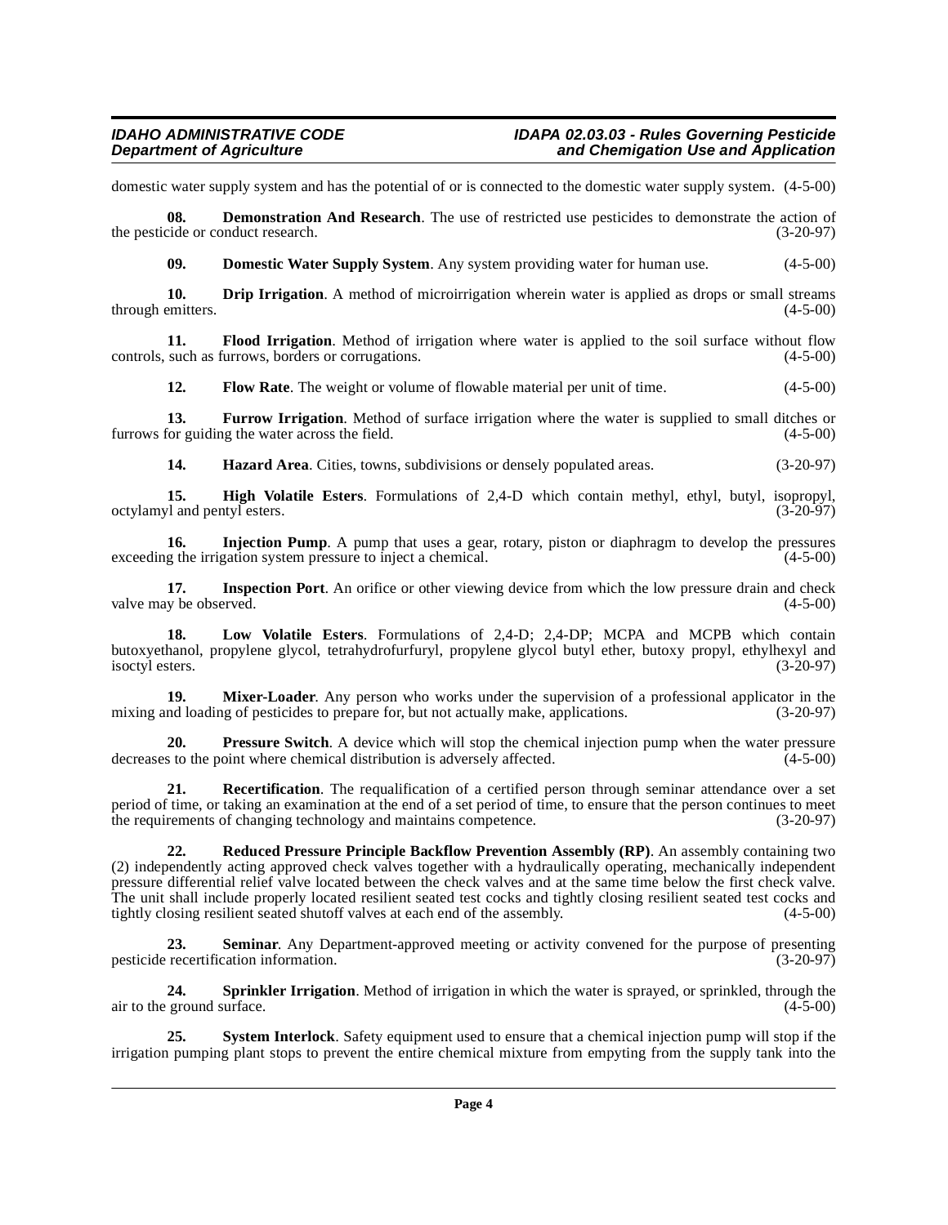domestic water supply system and has the potential of or is connected to the domestic water supply system. (4-5-00)

**08. Demonstration And Research**. The use of restricted use pesticides to demonstrate the action of the pesticide or conduct research. (3-20-97)

<span id="page-3-2"></span><span id="page-3-1"></span><span id="page-3-0"></span>**09. Domestic Water Supply System**. Any system providing water for human use. (4-5-00)

**10. Drip Irrigation**. A method of microirrigation wherein water is applied as drops or small streams through emitters. (4-5-00)

**11. Flood Irrigation**. Method of irrigation where water is applied to the soil surface without flow such as furrows, borders or corrugations. (4-5-00) controls, such as furrows, borders or corrugations.

<span id="page-3-5"></span><span id="page-3-4"></span><span id="page-3-3"></span>**12.** Flow Rate. The weight or volume of flowable material per unit of time.  $(4-5-00)$ 

**13. Furrow Irrigation**. Method of surface irrigation where the water is supplied to small ditches or for guiding the water across the field. (4-5-00) furrows for guiding the water across the field.

<span id="page-3-8"></span><span id="page-3-7"></span><span id="page-3-6"></span>**14. Hazard Area**. Cities, towns, subdivisions or densely populated areas. (3-20-97)

**15. High Volatile Esters**. Formulations of 2,4-D which contain methyl, ethyl, butyl, isopropyl,  $v$ l and pentyl esters. (3-20-97) octylamyl and pentyl esters.

**16.** Injection Pump. A pump that uses a gear, rotary, piston or diaphragm to develop the pressures exceeding the irrigation system pressure to inject a chemical. (4-5-00)

<span id="page-3-9"></span>**17.** Inspection Port. An orifice or other viewing device from which the low pressure drain and check (4-5-00) (4-5-00) valve may be observed.

<span id="page-3-10"></span>**18. Low Volatile Esters**. Formulations of 2,4-D; 2,4-DP; MCPA and MCPB which contain butoxyethanol, propylene glycol, tetrahydrofurfuryl, propylene glycol butyl ether, butoxy propyl, ethylhexyl and isoctyl esters. (3-20-97)

<span id="page-3-11"></span>**19. Mixer-Loader**. Any person who works under the supervision of a professional applicator in the nd loading of pesticides to prepare for, but not actually make, applications. (3-20-97) mixing and loading of pesticides to prepare for, but not actually make, applications.

<span id="page-3-12"></span>**20. Pressure Switch**. A device which will stop the chemical injection pump when the water pressure decreases to the point where chemical distribution is adversely affected. (4-5-00)

<span id="page-3-13"></span>**21. Recertification**. The requalification of a certified person through seminar attendance over a set period of time, or taking an examination at the end of a set period of time, to ensure that the person continues to meet<br>the requirements of changing technology and maintains competence. (3-20-97) the requirements of changing technology and maintains competence.

<span id="page-3-14"></span>**22. Reduced Pressure Principle Backflow Prevention Assembly (RP)**. An assembly containing two (2) independently acting approved check valves together with a hydraulically operating, mechanically independent pressure differential relief valve located between the check valves and at the same time below the first check valve. The unit shall include properly located resilient seated test cocks and tightly closing resilient seated test cocks and tightly closing resilient seated shutoff valves at each end of the assembly. (4-5-00)

<span id="page-3-15"></span>**23.** Seminar. Any Department-approved meeting or activity convened for the purpose of presenting recertification information. (3-20-97) pesticide recertification information.

<span id="page-3-16"></span>**24. Sprinkler Irrigation**. Method of irrigation in which the water is sprayed, or sprinkled, through the ground surface. (4-5-00) air to the ground surface.

<span id="page-3-17"></span>**25. System Interlock**. Safety equipment used to ensure that a chemical injection pump will stop if the irrigation pumping plant stops to prevent the entire chemical mixture from empyting from the supply tank into the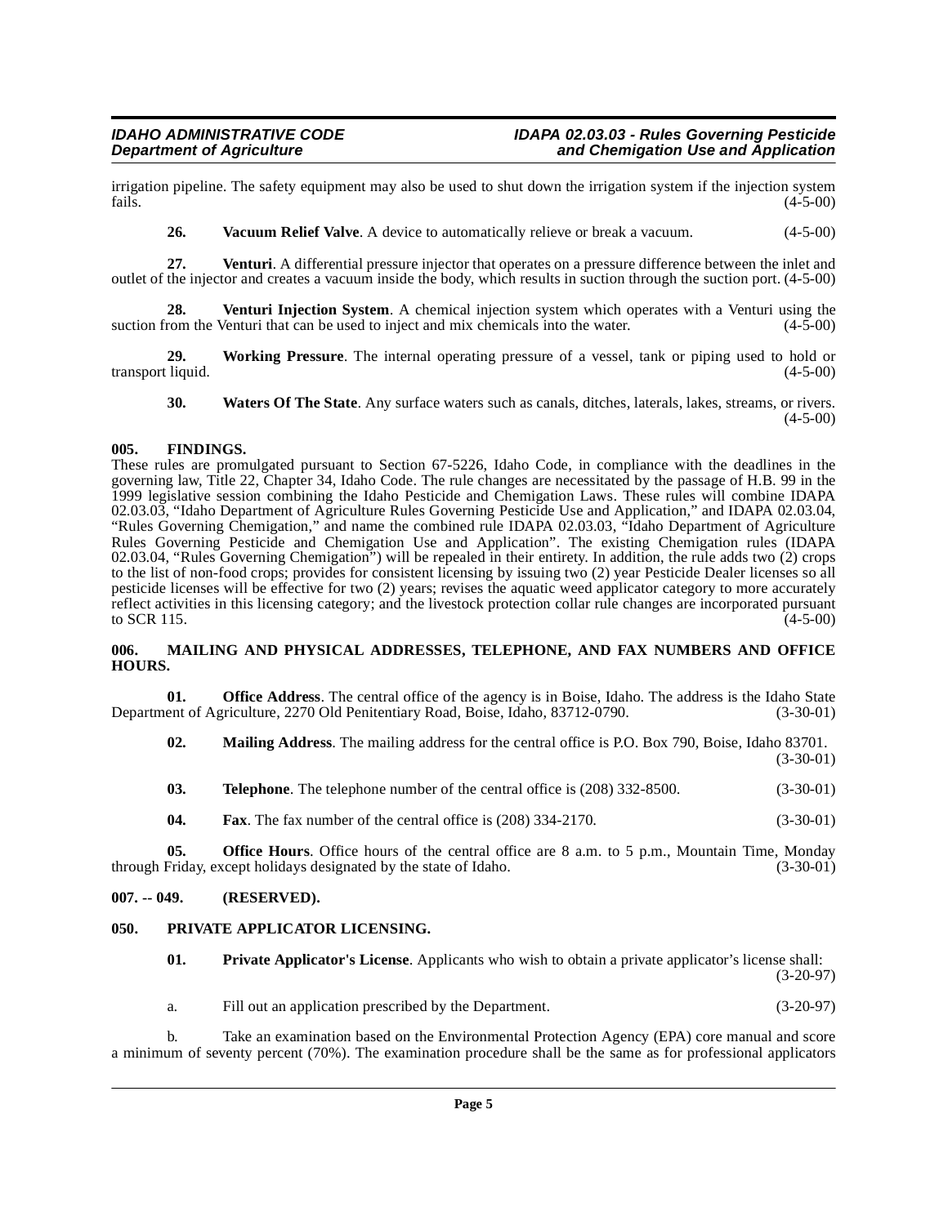irrigation pipeline. The safety equipment may also be used to shut down the irrigation system if the injection system fails. (4-5-00)  $f_{\text{ails.}}$  (4-5-00)

<span id="page-4-9"></span><span id="page-4-8"></span><span id="page-4-7"></span>**26.** Vacuum Relief Valve. A device to automatically relieve or break a vacuum.  $(4-5-00)$ 

**27. Venturi**. A differential pressure injector that operates on a pressure difference between the inlet and outlet of the injector and creates a vacuum inside the body, which results in suction through the suction port. (4-5-00)

**28. Venturi Injection System**. A chemical injection system which operates with a Venturi using the suction from the Venturi that can be used to inject and mix chemicals into the water.  $(4-5-00)$ 

**29.** Working Pressure. The internal operating pressure of a vessel, tank or piping used to hold or liquid. (4-5-00) transport liquid.

<span id="page-4-11"></span><span id="page-4-10"></span><span id="page-4-4"></span>**30. Waters Of The State**. Any surface waters such as canals, ditches, laterals, lakes, streams, or rivers.  $(4-5-00)$ 

#### <span id="page-4-0"></span>**005. FINDINGS.**

These rules are promulgated pursuant to Section 67-5226, Idaho Code, in compliance with the deadlines in the governing law, Title 22, Chapter 34, Idaho Code. The rule changes are necessitated by the passage of H.B. 99 in the 1999 legislative session combining the Idaho Pesticide and Chemigation Laws. These rules will combine IDAPA 02.03.03, "Idaho Department of Agriculture Rules Governing Pesticide Use and Application," and IDAPA 02.03.04, "Rules Governing Chemigation," and name the combined rule IDAPA 02.03.03, "Idaho Department of Agriculture Rules Governing Pesticide and Chemigation Use and Application". The existing Chemigation rules (IDAPA 02.03.04, "Rules Governing Chemigation") will be repealed in their entirety. In addition, the rule adds two (2) crops to the list of non-food crops; provides for consistent licensing by issuing two (2) year Pesticide Dealer licenses so all pesticide licenses will be effective for two (2) years; revises the aquatic weed applicator category to more accurately reflect activities in this licensing category; and the livestock protection collar rule changes are incorporated pursuant to SCR 115.  $(4-5-00)$ 

#### <span id="page-4-1"></span>**006. MAILING AND PHYSICAL ADDRESSES, TELEPHONE, AND FAX NUMBERS AND OFFICE HOURS.**

**01. Office Address**. The central office of the agency is in Boise, Idaho. The address is the Idaho State ent of Agriculture, 2270 Old Penitentiary Road, Boise, Idaho, 83712-0790. (3-30-01) Department of Agriculture, 2270 Old Penitentiary Road, Boise, Idaho, 83712-0790.

**02. Mailing Address**. The mailing address for the central office is P.O. Box 790, Boise, Idaho 83701. (3-30-01)

| 03. |  | <b>Telephone.</b> The telephone number of the central office is (208) 332-8500. |  |  | $(3-30-01)$ |
|-----|--|---------------------------------------------------------------------------------|--|--|-------------|
|-----|--|---------------------------------------------------------------------------------|--|--|-------------|

**04. Fax**. The fax number of the central office is (208) 334-2170. (3-30-01)

**05. Office Hours**. Office hours of the central office are 8 a.m. to 5 p.m., Mountain Time, Monday Friday, except holidays designated by the state of Idaho. (3-30-01) through Friday, except holidays designated by the state of Idaho.

#### <span id="page-4-2"></span>**007. -- 049. (RESERVED).**

### <span id="page-4-3"></span>**050. PRIVATE APPLICATOR LICENSING.**

<span id="page-4-6"></span><span id="page-4-5"></span>

| 01. |  | <b>Private Applicator's License.</b> Applicants who wish to obtain a private applicator's license shall: |
|-----|--|----------------------------------------------------------------------------------------------------------|
|     |  | $(3-20-97)$                                                                                              |

a. Fill out an application prescribed by the Department. (3-20-97)

b. Take an examination based on the Environmental Protection Agency (EPA) core manual and score a minimum of seventy percent (70%). The examination procedure shall be the same as for professional applicators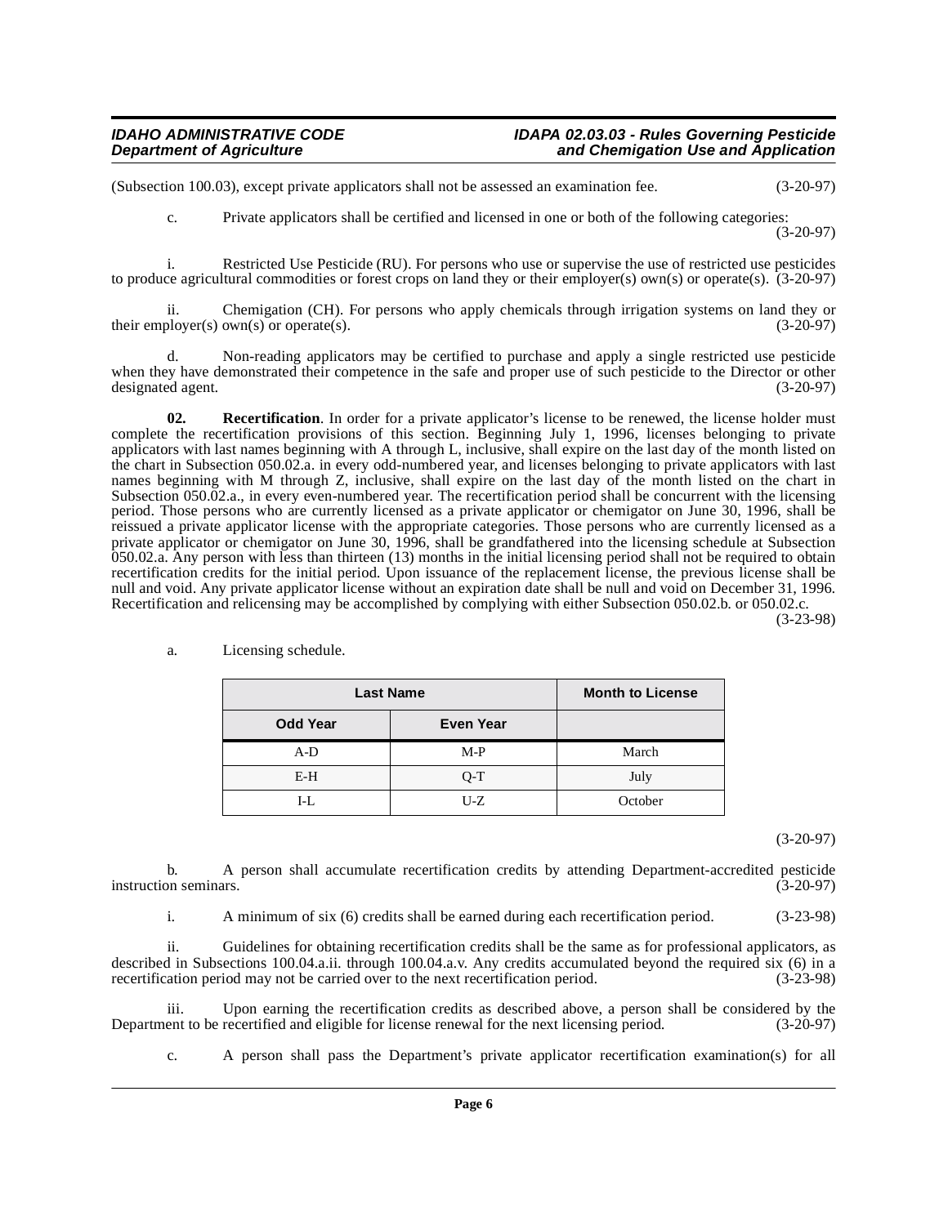(Subsection 100.03), except private applicators shall not be assessed an examination fee. (3-20-97)

c. Private applicators shall be certified and licensed in one or both of the following categories: (3-20-97)

i. Restricted Use Pesticide (RU). For persons who use or supervise the use of restricted use pesticides to produce agricultural commodities or forest crops on land they or their employer(s) own(s) or operate(s). (3-20-97)

ii. Chemigation (CH). For persons who apply chemicals through irrigation systems on land they or their employer(s) own(s) or operate(s).  $(3-20-97)$ 

d. Non-reading applicators may be certified to purchase and apply a single restricted use pesticide when they have demonstrated their competence in the safe and proper use of such pesticide to the Director or other designated agent. (3-20-97)

<span id="page-5-0"></span>**02.** Recertification. In order for a private applicator's license to be renewed, the license holder must complete the recertification provisions of this section. Beginning July 1, 1996, licenses belonging to private applicators with last names beginning with A through L, inclusive, shall expire on the last day of the month listed on the chart in Subsection 050.02.a. in every odd-numbered year, and licenses belonging to private applicators with last names beginning with M through Z, inclusive, shall expire on the last day of the month listed on the chart in Subsection 050.02.a., in every even-numbered year. The recertification period shall be concurrent with the licensing period. Those persons who are currently licensed as a private applicator or chemigator on June 30, 1996, shall be reissued a private applicator license with the appropriate categories. Those persons who are currently licensed as a private applicator or chemigator on June 30, 1996, shall be grandfathered into the licensing schedule at Subsection 050.02.a. Any person with less than thirteen (13) months in the initial licensing period shall not be required to obtain recertification credits for the initial period. Upon issuance of the replacement license, the previous license shall be null and void. Any private applicator license without an expiration date shall be null and void on December 31, 1996. Recertification and relicensing may be accomplished by complying with either Subsection 050.02.b. or 050.02.c.

(3-23-98)

| <b>Last Name</b> |                  | <b>Month to License</b> |
|------------------|------------------|-------------------------|
| <b>Odd Year</b>  | <b>Even Year</b> |                         |
| $A-D$            | $M-P$            | March                   |
| $E-H$            | $O-T$            | July                    |
| $I-I$ .          | U-Z              | October                 |

a. Licensing schedule.

(3-20-97)

b. A person shall accumulate recertification credits by attending Department-accredited pesticide instruction seminars.

i. A minimum of six (6) credits shall be earned during each recertification period. (3-23-98)

ii. Guidelines for obtaining recertification credits shall be the same as for professional applicators, as described in Subsections 100.04.a.ii. through 100.04.a.v. Any credits accumulated beyond the required six (6) in a recertification period may not be carried over to the next recertification period. (3-23-98)

iii. Upon earning the recertification credits as described above, a person shall be considered by the Department to be recertified and eligible for license renewal for the next licensing period. (3-20-97)

c. A person shall pass the Department's private applicator recertification examination(s) for all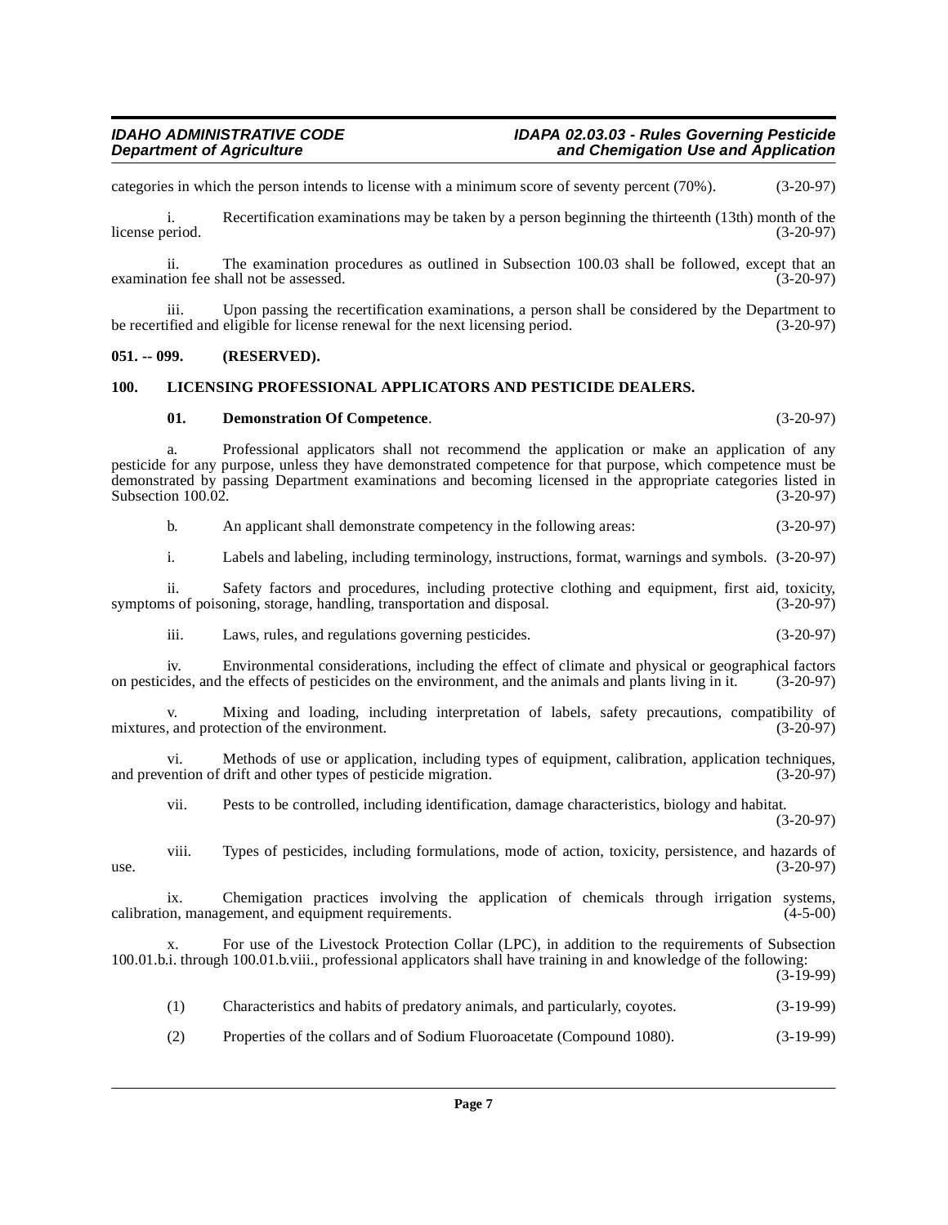categories in which the person intends to license with a minimum score of seventy percent (70%). (3-20-97)

i. Recertification examinations may be taken by a person beginning the thirteenth (13th) month of the license period. (3-20-97) license period. (3-20-97)

ii. The examination procedures as outlined in Subsection 100.03 shall be followed, except that an tion fee shall not be assessed. (3-20-97) examination fee shall not be assessed.

iii. Upon passing the recertification examinations, a person shall be considered by the Department to be recertified and eligible for license renewal for the next licensing period. (3-20-97)

#### <span id="page-6-0"></span>**051. -- 099. (RESERVED).**

#### <span id="page-6-1"></span>**100. LICENSING PROFESSIONAL APPLICATORS AND PESTICIDE DEALERS.**

#### <span id="page-6-2"></span>**01. Demonstration Of Competence**. (3-20-97)

a. Professional applicators shall not recommend the application or make an application of any pesticide for any purpose, unless they have demonstrated competence for that purpose, which competence must be demonstrated by passing Department examinations and becoming licensed in the appropriate categories listed in Subsection 100.02. (3-20-97) Subsection 100.02.

b. An applicant shall demonstrate competency in the following areas: (3-20-97)

i. Labels and labeling, including terminology, instructions, format, warnings and symbols. (3-20-97)

ii. Safety factors and procedures, including protective clothing and equipment, first aid, toxicity, as of poisoning, storage, handling, transportation and disposal. (3-20-97) symptoms of poisoning, storage, handling, transportation and disposal.

iii. Laws, rules, and regulations governing pesticides. (3-20-97)

iv. Environmental considerations, including the effect of climate and physical or geographical factors ides, and the effects of pesticides on the environment, and the animals and plants living in it. (3-20-97) on pesticides, and the effects of pesticides on the environment, and the animals and plants living in it.

v. Mixing and loading, including interpretation of labels, safety precautions, compatibility of , and protection of the environment. (3-20-97) mixtures, and protection of the environment.

vi. Methods of use or application, including types of equipment, calibration, application techniques, ention of drift and other types of pesticide migration. (3-20-97) and prevention of drift and other types of pesticide migration.

vii. Pests to be controlled, including identification, damage characteristics, biology and habitat.

viii. Types of pesticides, including formulations, mode of action, toxicity, persistence, and hazards of use.  $(3-20-97)$ 

ix. Chemigation practices involving the application of chemicals through irrigation systems, calibration, management, and equipment requirements. (4-5-00)

For use of the Livestock Protection Collar (LPC), in addition to the requirements of Subsection 100.01.b.i. through 100.01.b.viii., professional applicators shall have training in and knowledge of the following:

 $(3-19-99)$ 

(3-20-97)

| (1) | Characteristics and habits of predatory animals, and particularly, coyotes. | $(3-19-99)$ |
|-----|-----------------------------------------------------------------------------|-------------|
|-----|-----------------------------------------------------------------------------|-------------|

(2) Properties of the collars and of Sodium Fluoroacetate (Compound 1080). (3-19-99)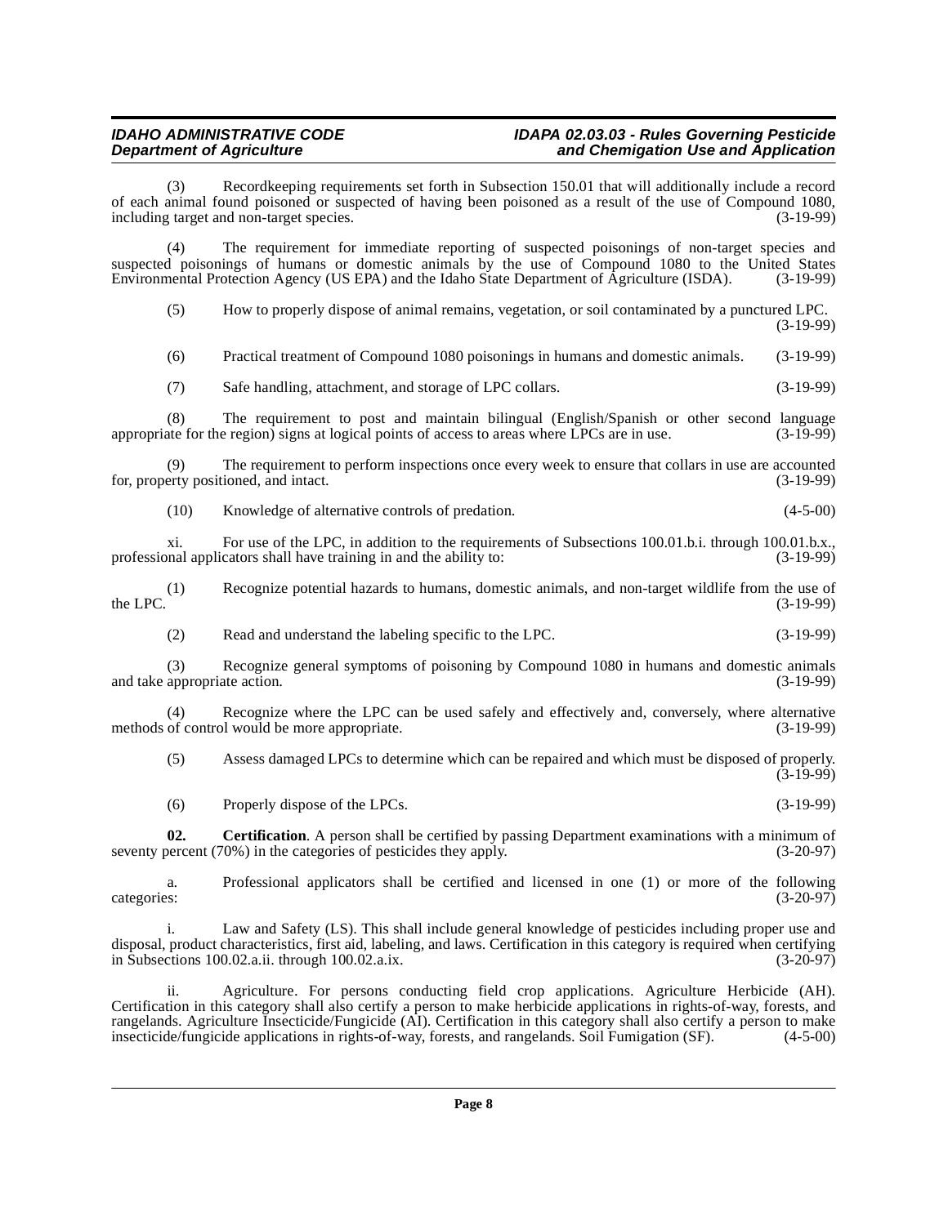Recordkeeping requirements set forth in Subsection 150.01 that will additionally include a record of each animal found poisoned or suspected of having been poisoned as a result of the use of Compound 1080, including target and non-target species. (3-19-99) including target and non-target species.

(4) The requirement for immediate reporting of suspected poisonings of non-target species and suspected poisonings of humans or domestic animals by the use of Compound 1080 to the United States Environmental Protection Agency (US EPA) and the Idaho State Department of Agriculture (ISDA). (3-19-99) Environmental Protection Agency (US EPA) and the Idaho State Department of Agriculture (ISDA).

(5) How to properly dispose of animal remains, vegetation, or soil contaminated by a punctured LPC. (3-19-99)

(6) Practical treatment of Compound 1080 poisonings in humans and domestic animals. (3-19-99)

(7) Safe handling, attachment, and storage of LPC collars. (3-19-99)

(8) The requirement to post and maintain bilingual (English/Spanish or other second language ate for the region) signs at logical points of access to areas where LPCs are in use. (3-19-99) appropriate for the region) signs at logical points of access to areas where LPCs are in use.

(9) The requirement to perform inspections once every week to ensure that collars in use are accounted erty positioned, and intact. (3-19-99) for, property positioned, and intact.

(10) Knowledge of alternative controls of predation. (4-5-00)

xi. For use of the LPC, in addition to the requirements of Subsections 100.01.b.i. through 100.01.b.x., nnal applicators shall have training in and the ability to: (3-19-99) professional applicators shall have training in and the ability to:

(1) Recognize potential hazards to humans, domestic animals, and non-target wildlife from the use of the LPC.  $(3-19-99)$ 

(2) Read and understand the labeling specific to the LPC. (3-19-99)

(3) Recognize general symptoms of poisoning by Compound 1080 in humans and domestic animals and take appropriate action.

(4) Recognize where the LPC can be used safely and effectively and, conversely, where alternative methods of control would be more appropriate.

(5) Assess damaged LPCs to determine which can be repaired and which must be disposed of properly. (3-19-99)

<span id="page-7-0"></span>(6) Properly dispose of the LPCs. (3-19-99)

**02. Certification**. A person shall be certified by passing Department examinations with a minimum of percent (70%) in the categories of pesticides they apply. (3-20-97) seventy percent  $(70%)$  in the categories of pesticides they apply.

a. Professional applicators shall be certified and licensed in one (1) or more of the following categories: (3-20-97)

i. Law and Safety (LS). This shall include general knowledge of pesticides including proper use and disposal, product characteristics, first aid, labeling, and laws. Certification in this category is required when certifying in Subsections  $100.02$ .a.ii. through  $100.02$ .a.ix.

ii. Agriculture. For persons conducting field crop applications. Agriculture Herbicide (AH). Certification in this category shall also certify a person to make herbicide applications in rights-of-way, forests, and rangelands. Agriculture Insecticide/Fungicide (AI). Certification in this category shall also certify a person to make<br>insecticide/fungicide applications in rights-of-way, forests, and rangelands. Soil Fumigation (SF). (4insecticide/fungicide applications in rights-of-way, forests, and rangelands. Soil Fumigation  $(SF)$ .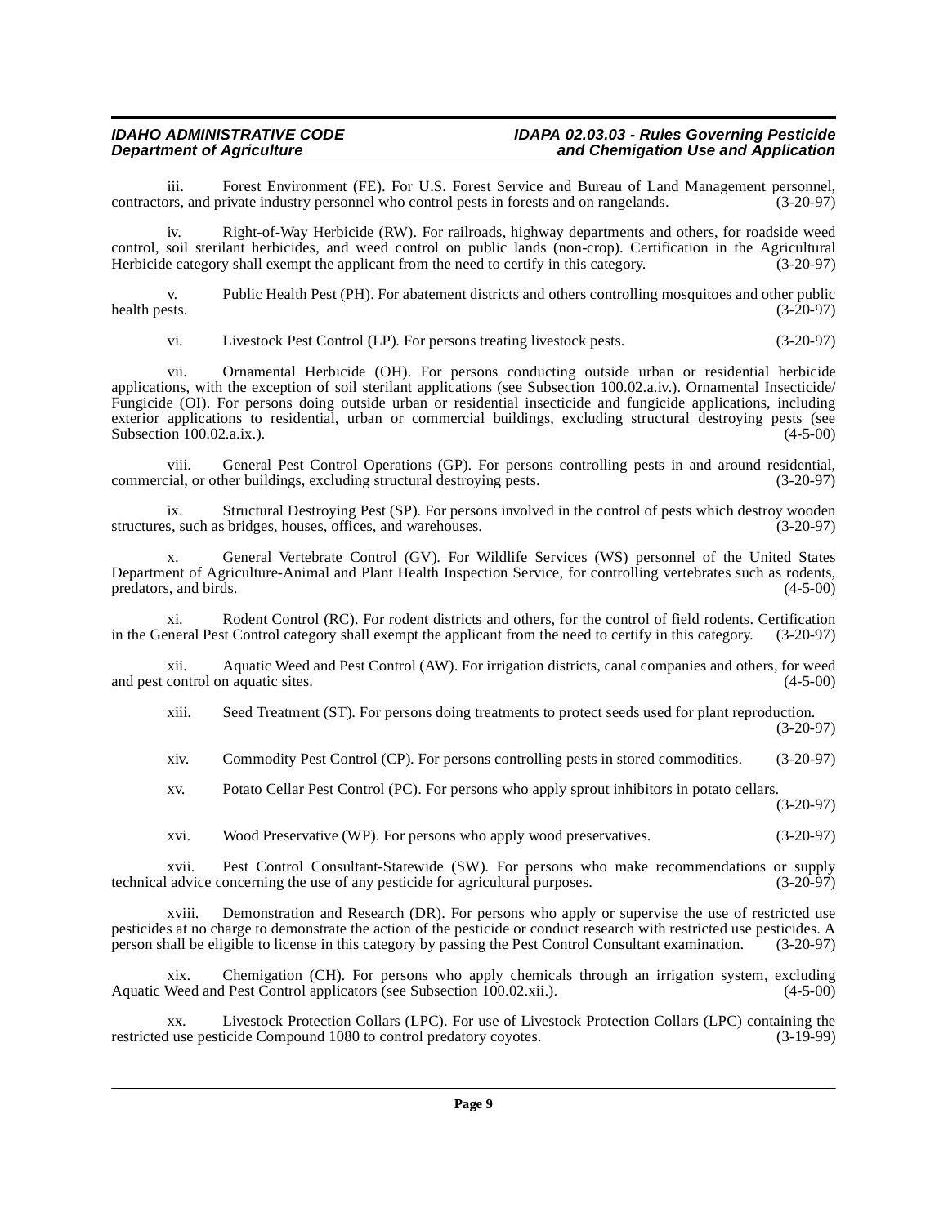iii. Forest Environment (FE). For U.S. Forest Service and Bureau of Land Management personnel, <br>prs, and private industry personnel who control pests in forests and on rangelands. (3-20-97) contractors, and private industry personnel who control pests in forests and on rangelands.

iv. Right-of-Way Herbicide (RW). For railroads, highway departments and others, for roadside weed control, soil sterilant herbicides, and weed control on public lands (non-crop). Certification in the Agricultural Herbicide category shall exempt the applicant from the need to certify in this category. (3-20-97)

v. Public Health Pest (PH). For abatement districts and others controlling mosquitoes and other public health pests. (3-20-97) health pests. (3-20-97)

vi. Livestock Pest Control (LP). For persons treating livestock pests. (3-20-97)

vii. Ornamental Herbicide (OH). For persons conducting outside urban or residential herbicide applications, with the exception of soil sterilant applications (see Subsection 100.02.a.iv.). Ornamental Insecticide/ Fungicide (OI). For persons doing outside urban or residential insecticide and fungicide applications, including exterior applications to residential, urban or commercial buildings, excluding structural destroying pests (see<br>Subsection 100.02.a.ix.). Subsection  $100.02$ .a.ix.).

viii. General Pest Control Operations (GP). For persons controlling pests in and around residential, commercial, or other buildings, excluding structural destroying pests. (3-20-97)

ix. Structural Destroying Pest (SP). For persons involved in the control of pests which destroy wooden s, such as bridges, houses, offices, and warehouses. structures, such as bridges, houses, offices, and warehouses.

x. General Vertebrate Control (GV). For Wildlife Services (WS) personnel of the United States Department of Agriculture-Animal and Plant Health Inspection Service, for controlling vertebrates such as rodents, predators, and birds.

xi. Rodent Control (RC). For rodent districts and others, for the control of field rodents. Certification in the General Pest Control category shall exempt the applicant from the need to certify in this category. (3-20-97)

xii. Aquatic Weed and Pest Control (AW). For irrigation districts, canal companies and others, for weed and pest control on aquatic sites.

xiii. Seed Treatment (ST). For persons doing treatments to protect seeds used for plant reproduction. (3-20-97)

xiv. Commodity Pest Control (CP). For persons controlling pests in stored commodities. (3-20-97)

xv. Potato Cellar Pest Control (PC). For persons who apply sprout inhibitors in potato cellars. (3-20-97)

xvi. Wood Preservative (WP). For persons who apply wood preservatives. (3-20-97)

xvii. Pest Control Consultant-Statewide (SW). For persons who make recommendations or supply<br>advice concerning the use of any pesticide for agricultural purposes. (3-20-97) technical advice concerning the use of any pesticide for agricultural purposes.

xviii. Demonstration and Research (DR). For persons who apply or supervise the use of restricted use pesticides at no charge to demonstrate the action of the pesticide or conduct research with restricted use pesticides. A person shall be eligible to license in this category by passing the Pest Control Consultant examination. (3-20-97)

xix. Chemigation (CH). For persons who apply chemicals through an irrigation system, excluding Aquatic Weed and Pest Control applicators (see Subsection 100.02.xii.). (4-5-00)

xx. Livestock Protection Collars (LPC). For use of Livestock Protection Collars (LPC) containing the restricted use pesticide Compound 1080 to control predatory coyotes.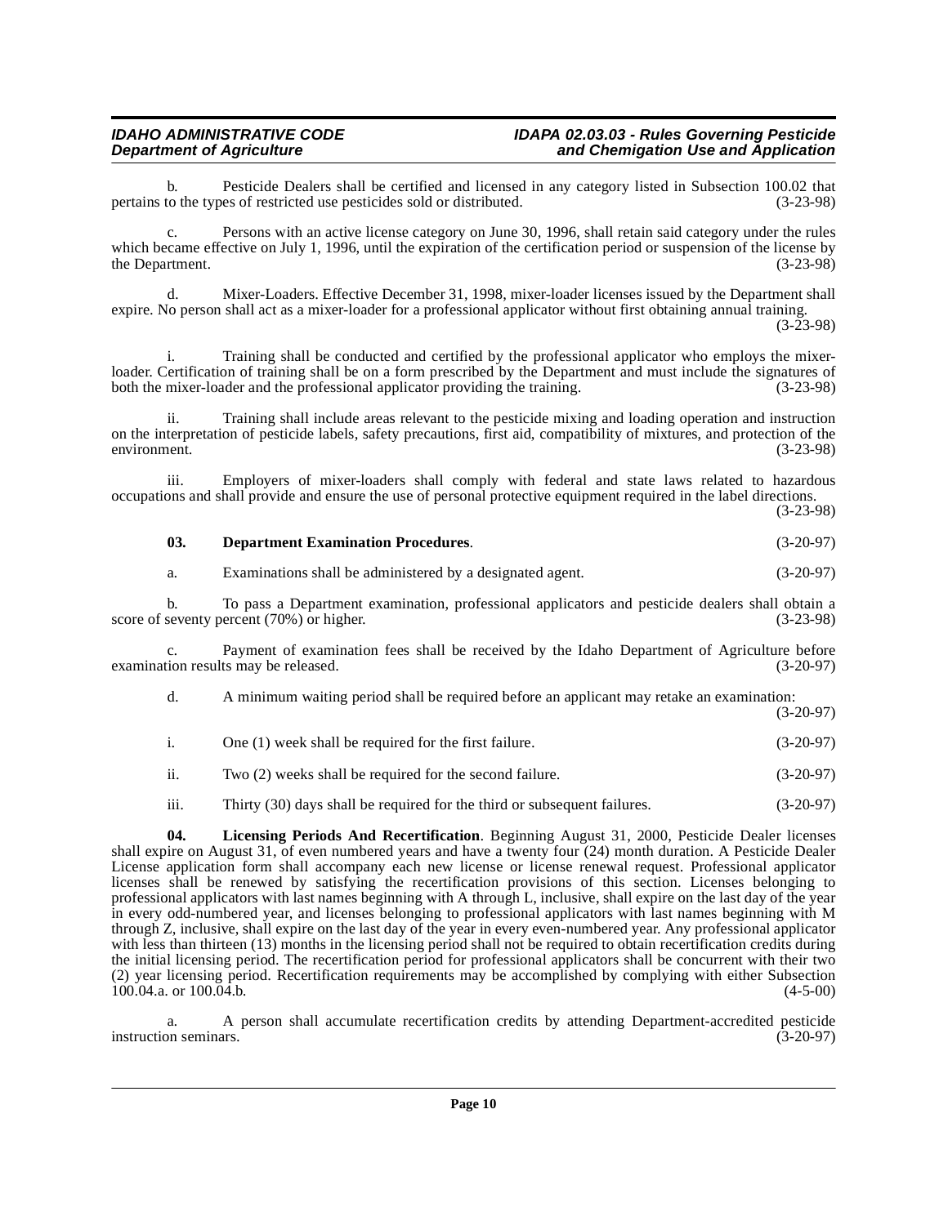b. Pesticide Dealers shall be certified and licensed in any category listed in Subsection 100.02 that to the types of restricted use pesticides sold or distributed. (3-23-98) pertains to the types of restricted use pesticides sold or distributed.

c. Persons with an active license category on June 30, 1996, shall retain said category under the rules which became effective on July 1, 1996, until the expiration of the certification period or suspension of the license by the Department. (3-23-98)

d. Mixer-Loaders. Effective December 31, 1998, mixer-loader licenses issued by the Department shall expire. No person shall act as a mixer-loader for a professional applicator without first obtaining annual training.  $(3 - 23 - 98)$ 

i. Training shall be conducted and certified by the professional applicator who employs the mixerloader. Certification of training shall be on a form prescribed by the Department and must include the signatures of both the mixer-loader and the professional applicator providing the training. (3-23-98)

ii. Training shall include areas relevant to the pesticide mixing and loading operation and instruction on the interpretation of pesticide labels, safety precautions, first aid, compatibility of mixtures, and protection of the environment. (3-23-98) environment. (3-23-98)

iii. Employers of mixer-loaders shall comply with federal and state laws related to hazardous occupations and shall provide and ensure the use of personal protective equipment required in the label directions.

(3-23-98)

<span id="page-9-0"></span>

| 03. | <b>Department Examination Procedures.</b> | $(3-20-97)$ |
|-----|-------------------------------------------|-------------|
|-----|-------------------------------------------|-------------|

a. Examinations shall be administered by a designated agent. (3-20-97)

b. To pass a Department examination, professional applicators and pesticide dealers shall obtain a seventy percent (70%) or higher. (3-23-98) score of seventy percent  $(70%)$  or higher.

c. Payment of examination fees shall be received by the Idaho Department of Agriculture before examination results may be released. (3-20-97)

d. A minimum waiting period shall be required before an applicant may retake an examination: (3-20-97)

- i. One (1) week shall be required for the first failure. (3-20-97)
- ii. Two (2) weeks shall be required for the second failure. (3-20-97)
- <span id="page-9-1"></span>iii. Thirty (30) days shall be required for the third or subsequent failures. (3-20-97)

**04. Licensing Periods And Recertification**. Beginning August 31, 2000, Pesticide Dealer licenses shall expire on August 31, of even numbered years and have a twenty four (24) month duration. A Pesticide Dealer License application form shall accompany each new license or license renewal request. Professional applicator licenses shall be renewed by satisfying the recertification provisions of this section. Licenses belonging to professional applicators with last names beginning with A through L, inclusive, shall expire on the last day of the year in every odd-numbered year, and licenses belonging to professional applicators with last names beginning with M through Z, inclusive, shall expire on the last day of the year in every even-numbered year. Any professional applicator with less than thirteen (13) months in the licensing period shall not be required to obtain recertification credits during the initial licensing period. The recertification period for professional applicators shall be concurrent with their two (2) year licensing period. Recertification requirements may be accomplished by complying with either Subsection 100.04.a. or 100.04.b. (4-5-00)

a. A person shall accumulate recertification credits by attending Department-accredited pesticide instruction seminars.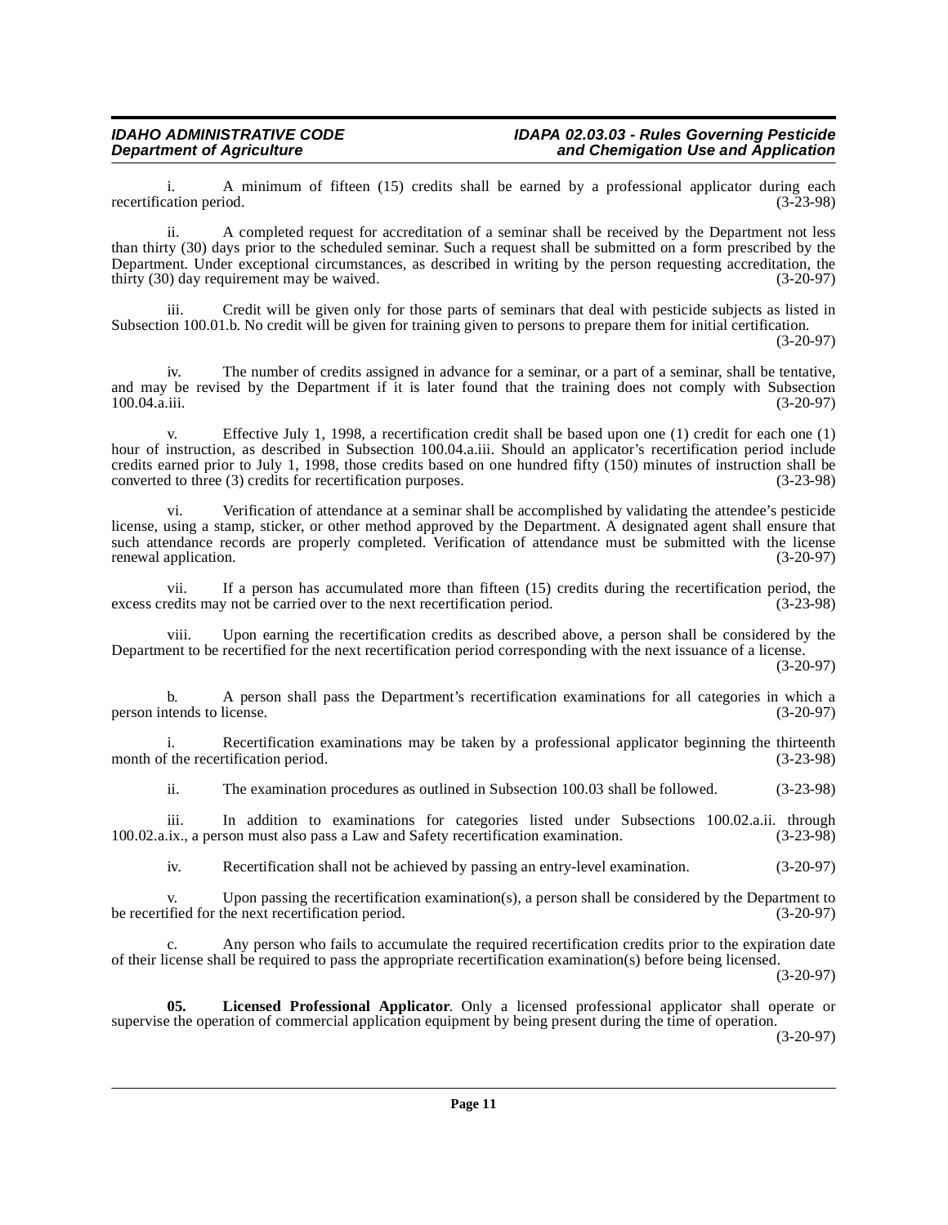i. A minimum of fifteen (15) credits shall be earned by a professional applicator during each ation period. (3-23-98) recertification period.

ii. A completed request for accreditation of a seminar shall be received by the Department not less than thirty (30) days prior to the scheduled seminar. Such a request shall be submitted on a form prescribed by the Department. Under exceptional circumstances, as described in writing by the person requesting accreditation, the thirty (30) day requirement may be waived. (3-20-97) thirty  $(30)$  day requirement may be waived.

iii. Credit will be given only for those parts of seminars that deal with pesticide subjects as listed in Subsection 100.01.b. No credit will be given for training given to persons to prepare them for initial certification.

(3-20-97)

iv. The number of credits assigned in advance for a seminar, or a part of a seminar, shall be tentative, and may be revised by the Department if it is later found that the training does not comply with Subsection 100.04.a.iii. (3-20-97) 100.04.a.iii. (3-20-97)

v. Effective July 1, 1998, a recertification credit shall be based upon one (1) credit for each one (1) hour of instruction, as described in Subsection 100.04.a.iii. Should an applicator's recertification period include credits earned prior to July 1, 1998, those credits based on one hundred fifty (150) minutes of instruction shall be converted to three (3) credits for recertification purposes. (3-23-98)

vi. Verification of attendance at a seminar shall be accomplished by validating the attendee's pesticide license, using a stamp, sticker, or other method approved by the Department. A designated agent shall ensure that such attendance records are properly completed. Verification of attendance must be submitted with the license renewal application. (3-20-97)

vii. If a person has accumulated more than fifteen (15) credits during the recertification period, the redits may not be carried over to the next recertification period. (3-23-98) excess credits may not be carried over to the next recertification period.

viii. Upon earning the recertification credits as described above, a person shall be considered by the Department to be recertified for the next recertification period corresponding with the next issuance of a license. (3-20-97)

b. A person shall pass the Department's recertification examinations for all categories in which a person intends to license.

i. Recertification examinations may be taken by a professional applicator beginning the thirteenth month of the recertification period. (3-23-98)

ii. The examination procedures as outlined in Subsection 100.03 shall be followed. (3-23-98)

iii. In addition to examinations for categories listed under Subsections 100.02.a.ii. through i.x., a person must also pass a Law and Safety recertification examination. (3-23-98) 100.02.a.ix., a person must also pass a Law and Safety recertification examination.

iv. Recertification shall not be achieved by passing an entry-level examination. (3-20-97)

v. Upon passing the recertification examination(s), a person shall be considered by the Department to be recertified for the next recertification period. (3-20-97)

Any person who fails to accumulate the required recertification credits prior to the expiration date of their license shall be required to pass the appropriate recertification examination(s) before being licensed.

(3-20-97)

<span id="page-10-0"></span>**05. Licensed Professional Applicator**. Only a licensed professional applicator shall operate or supervise the operation of commercial application equipment by being present during the time of operation. (3-20-97)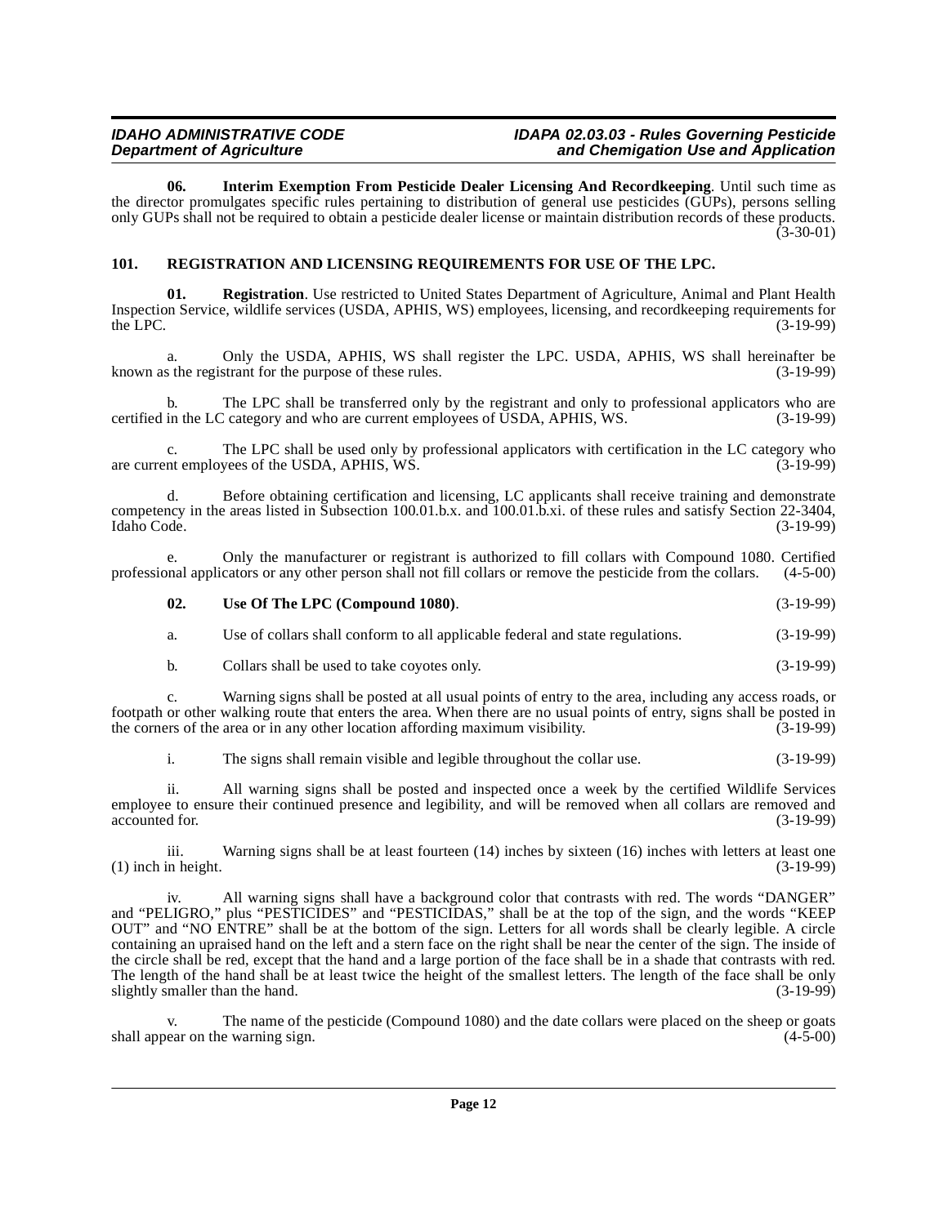<span id="page-11-1"></span>**06. Interim Exemption From Pesticide Dealer Licensing And Recordkeeping**. Until such time as the director promulgates specific rules pertaining to distribution of general use pesticides (GUPs), persons selling only GUPs shall not be required to obtain a pesticide dealer license or maintain distribution records of these products.  $(3-30-01)$ 

### <span id="page-11-3"></span><span id="page-11-0"></span>**101. REGISTRATION AND LICENSING REQUIREMENTS FOR USE OF THE LPC.**

<span id="page-11-2"></span>**01. Registration**. Use restricted to United States Department of Agriculture, Animal and Plant Health Inspection Service, wildlife services (USDA, APHIS, WS) employees, licensing, and recordkeeping requirements for the LPC.  $(3-19-99)$ 

a. Only the USDA, APHIS, WS shall register the LPC. USDA, APHIS, WS shall hereinafter be sthe registrant for the purpose of these rules. (3-19-99) known as the registrant for the purpose of these rules.

b. The LPC shall be transferred only by the registrant and only to professional applicators who are in the LC category and who are current employees of USDA, APHIS, WS. (3-19-99) certified in the LC category and who are current employees of USDA, APHIS, WS.

c. The LPC shall be used only by professional applicators with certification in the LC category who are current employees of the USDA, APHIS, WS. (3-19-99)

Before obtaining certification and licensing, LC applicants shall receive training and demonstrate competency in the areas listed in Subsection 100.01.b.x. and 100.01.b.xi. of these rules and satisfy Section 22-3404,<br>(3-19-99) Idaho Code. (3-19-99)

e. Only the manufacturer or registrant is authorized to fill collars with Compound 1080. Certified onal applicators or any other person shall not fill collars or remove the pesticide from the collars. (4-5-00) professional applicators or any other person shall not fill collars or remove the pesticide from the collars.

### <span id="page-11-4"></span>**02. Use Of The LPC (Compound 1080)**. (3-19-99)

- a. Use of collars shall conform to all applicable federal and state regulations. (3-19-99)
- b. Collars shall be used to take coyotes only. (3-19-99)

c. Warning signs shall be posted at all usual points of entry to the area, including any access roads, or footpath or other walking route that enters the area. When there are no usual points of entry, signs shall be posted in the corners of the area or in any other location affording maximum visibility.

i. The signs shall remain visible and legible throughout the collar use. (3-19-99)

ii. All warning signs shall be posted and inspected once a week by the certified Wildlife Services employee to ensure their continued presence and legibility, and will be removed when all collars are removed and accounted for. (3-19-99) accounted for. (3-19-99)

iii. Warning signs shall be at least fourteen (14) inches by sixteen (16) inches with letters at least one in height. (3-19-99)  $(1)$  inch in height.

iv. All warning signs shall have a background color that contrasts with red. The words "DANGER" and "PELIGRO," plus "PESTICIDES" and "PESTICIDAS," shall be at the top of the sign, and the words "KEEP OUT" and "NO ENTRE" shall be at the bottom of the sign. Letters for all words shall be clearly legible. A circle containing an upraised hand on the left and a stern face on the right shall be near the center of the sign. The inside of the circle shall be red, except that the hand and a large portion of the face shall be in a shade that contrasts with red. The length of the hand shall be at least twice the height of the smallest letters. The length of the face shall be only slightly smaller than the hand. (3-19-99)

v. The name of the pesticide (Compound 1080) and the date collars were placed on the sheep or goats ear on the warning sign. (4-5-00) shall appear on the warning sign.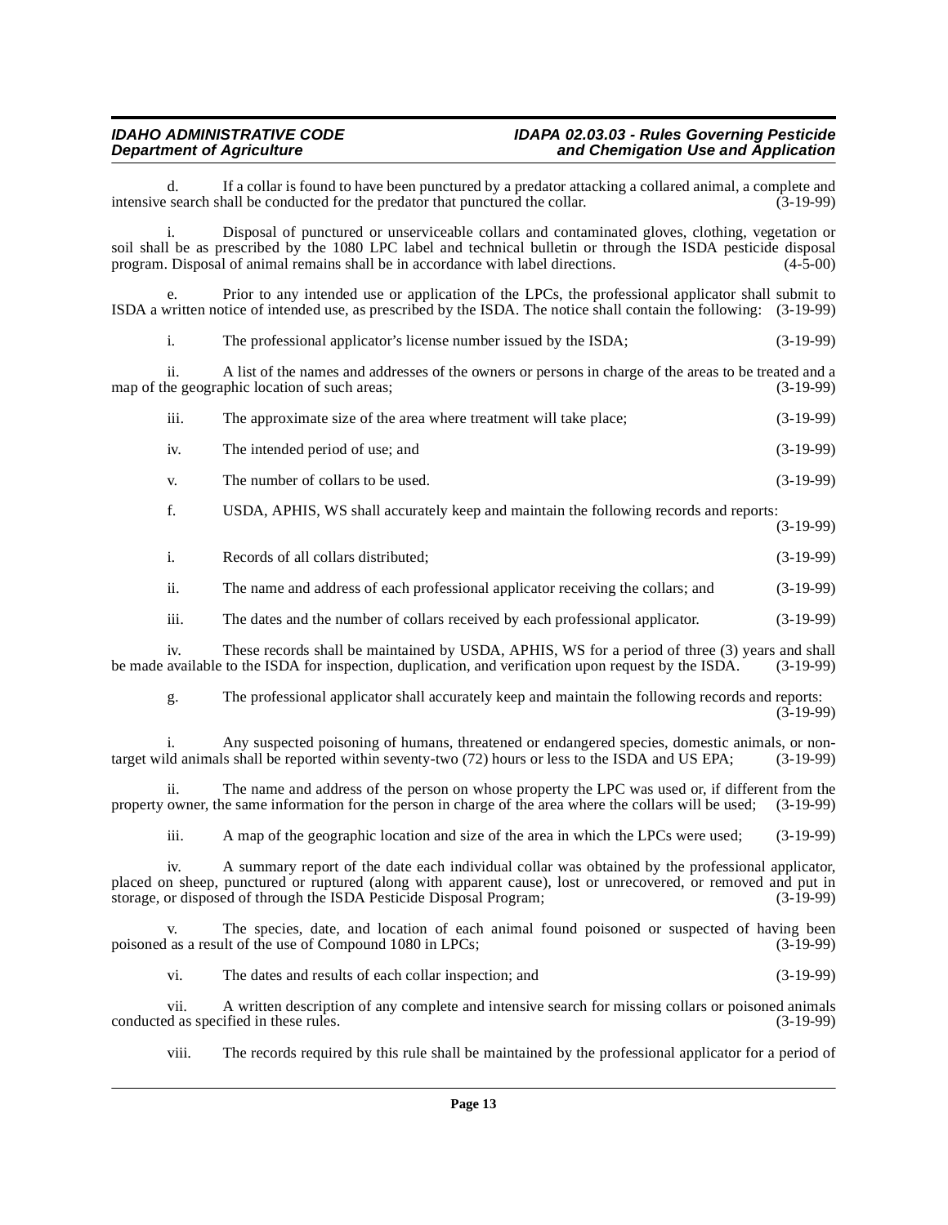d. If a collar is found to have been punctured by a predator attacking a collared animal, a complete and search shall be conducted for the predator that punctured the collar. (3-19-99) intensive search shall be conducted for the predator that punctured the collar.

i. Disposal of punctured or unserviceable collars and contaminated gloves, clothing, vegetation or soil shall be as prescribed by the 1080 LPC label and technical bulletin or through the ISDA pesticide disposal program. Disposal of animal remains shall be in accordance with label directions. (4-5-00) program. Disposal of animal remains shall be in accordance with label directions.

e. Prior to any intended use or application of the LPCs, the professional applicator shall submit to ISDA a written notice of intended use, as prescribed by the ISDA. The notice shall contain the following: (3-19-99)

| The professional applicator's license number issued by the ISDA; | $(3-19-99)$ |
|------------------------------------------------------------------|-------------|
|                                                                  |             |

ii. A list of the names and addresses of the owners or persons in charge of the areas to be treated and a map of the geographic location of such areas; (3-19-99)

| iii. | The approximate size of the area where treatment will take place; | $(3-19-99)$ |
|------|-------------------------------------------------------------------|-------------|
|      |                                                                   |             |

- iv. The intended period of use; and (3-19-99)
- v. The number of collars to be used. (3-19-99)
- f. USDA, APHIS, WS shall accurately keep and maintain the following records and reports: (3-19-99)

| Records of all collars distributed; | $(3-19-99)$ |
|-------------------------------------|-------------|
|                                     |             |

- ii. The name and address of each professional applicator receiving the collars; and (3-19-99)
- iii. The dates and the number of collars received by each professional applicator. (3-19-99)

iv. These records shall be maintained by USDA, APHIS, WS for a period of three (3) years and shall available to the ISDA for inspection, duplication, and verification upon request by the ISDA. (3-19-99) be made available to the ISDA for inspection, duplication, and verification upon request by the ISDA.

g. The professional applicator shall accurately keep and maintain the following records and reports:  $(3-19-99)$ 

i. Any suspected poisoning of humans, threatened or endangered species, domestic animals, or nontarget wild animals shall be reported within seventy-two (72) hours or less to the ISDA and US EPA; (3-19-99)

ii. The name and address of the person on whose property the LPC was used or, if different from the property owner, the same information for the person in charge of the area where the collars will be used; (3-19-99)

iii. A map of the geographic location and size of the area in which the LPCs were used; (3-19-99)

iv. A summary report of the date each individual collar was obtained by the professional applicator, placed on sheep, punctured or ruptured (along with apparent cause), lost or unrecovered, or removed and put in storage, or disposed of through the ISDA Pesticide Disposal Program; (3-19-99)

The species, date, and location of each animal found poisoned or suspected of having been<br>lt of the use of Compound  $1080$  in LPCs; (3-19-99) poisoned as a result of the use of Compound 1080 in LPCs;

vi. The dates and results of each collar inspection; and (3-19-99)

vii. A written description of any complete and intensive search for missing collars or poisoned animals d as specified in these rules. (3-19-99) conducted as specified in these rules.

viii. The records required by this rule shall be maintained by the professional applicator for a period of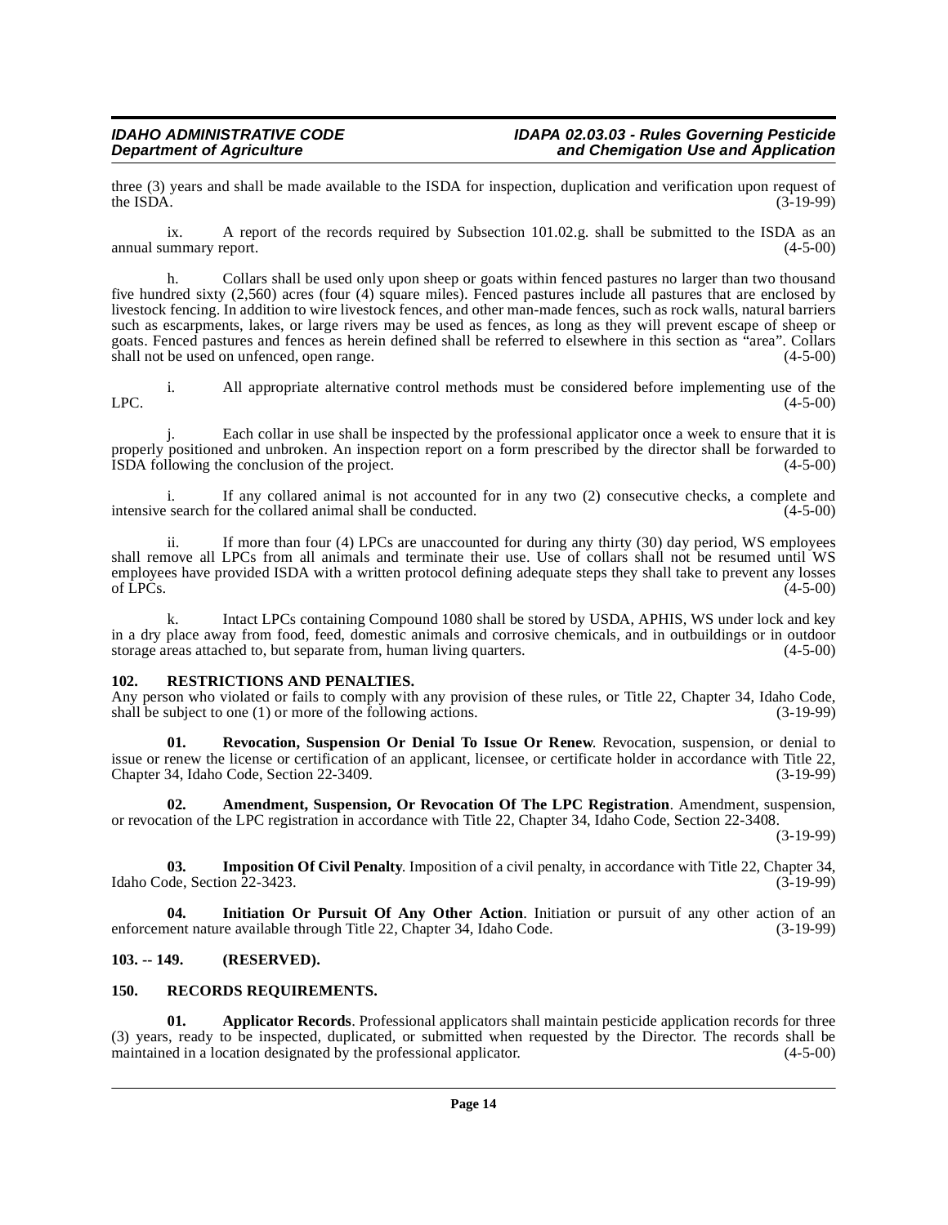three (3) years and shall be made available to the ISDA for inspection, duplication and verification upon request of the ISDA. (3-19-99) the ISDA.  $(3-19-99)$ 

ix. A report of the records required by Subsection 101.02.g. shall be submitted to the ISDA as an ummary report. (4-5-00) annual summary report.

h. Collars shall be used only upon sheep or goats within fenced pastures no larger than two thousand five hundred sixty (2,560) acres (four (4) square miles). Fenced pastures include all pastures that are enclosed by livestock fencing. In addition to wire livestock fences, and other man-made fences, such as rock walls, natural barriers such as escarpments, lakes, or large rivers may be used as fences, as long as they will prevent escape of sheep or goats. Fenced pastures and fences as herein defined shall be referred to elsewhere in this section as "area". Collars shall not be used on unfenced, open range. shall not be used on unfenced, open range.

i. All appropriate alternative control methods must be considered before implementing use of the  $LPC.$  (4-5-00)

j. Each collar in use shall be inspected by the professional applicator once a week to ensure that it is properly positioned and unbroken. An inspection report on a form prescribed by the director shall be forwarded to ISDA following the conclusion of the project. (4-5-00)

i. If any collared animal is not accounted for in any two (2) consecutive checks, a complete and search for the collared animal shall be conducted. (4-5-00) intensive search for the collared animal shall be conducted.

ii. If more than four (4) LPCs are unaccounted for during any thirty (30) day period, WS employees shall remove all LPCs from all animals and terminate their use. Use of collars shall not be resumed until WS employees have provided ISDA with a written protocol defining adequate steps they shall take to prevent any losses of LPCs.  $(4-5-00)$ 

Intact LPCs containing Compound 1080 shall be stored by USDA, APHIS, WS under lock and key in a dry place away from food, feed, domestic animals and corrosive chemicals, and in outbuildings or in outdoor storage areas attached to, but separate from, human living quarters. (4-5-00) storage areas attached to, but separate from, human living quarters.

#### <span id="page-13-8"></span><span id="page-13-0"></span>**102. RESTRICTIONS AND PENALTIES.**

Any person who violated or fails to comply with any provision of these rules, or Title 22, Chapter 34, Idaho Code, shall be subject to one (1) or more of the following actions. (3-19-99) shall be subject to one  $(1)$  or more of the following actions.

<span id="page-13-9"></span>**Revocation, Suspension Or Denial To Issue Or Renew.** Revocation, suspension, or denial to issue or renew the license or certification of an applicant, licensee, or certificate holder in accordance with Title 22, Chapter 34, Idaho Code, Section 22-3409. (3-19-99)

<span id="page-13-3"></span>**Amendment, Suspension, Or Revocation Of The LPC Registration.** Amendment, suspension, or revocation of the LPC registration in accordance with Title 22, Chapter 34, Idaho Code, Section 22-3408.

(3-19-99)

<span id="page-13-5"></span>**03. Imposition Of Civil Penalty**. Imposition of a civil penalty, in accordance with Title 22, Chapter 34, ode, Section 22-3423. Idaho Code, Section 22-3423.

<span id="page-13-6"></span>**04. Initiation Or Pursuit Of Any Other Action**. Initiation or pursuit of any other action of an enforcement nature available through Title 22, Chapter 34, Idaho Code. (3-19-99)

### <span id="page-13-1"></span>**103. -- 149. (RESERVED).**

### <span id="page-13-7"></span><span id="page-13-2"></span>**150. RECORDS REQUIREMENTS.**

<span id="page-13-4"></span>**01. Applicator Records**. Professional applicators shall maintain pesticide application records for three (3) years, ready to be inspected, duplicated, or submitted when requested by the Director. The records shall be maintained in a location designated by the professional applicator.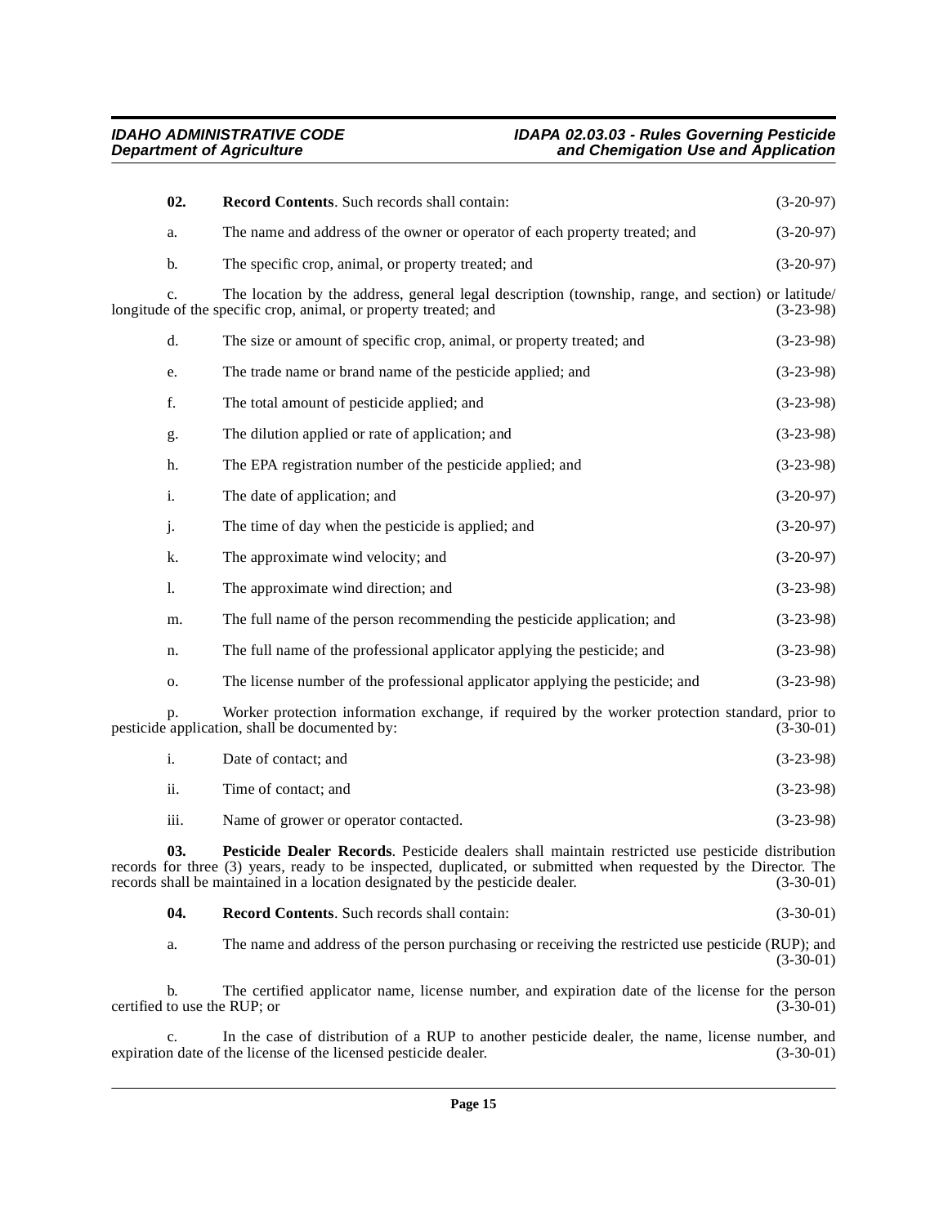<span id="page-14-1"></span>

| 02.            | Record Contents. Such records shall contain:                                                                                                                           | $(3-20-97)$ |
|----------------|------------------------------------------------------------------------------------------------------------------------------------------------------------------------|-------------|
| a.             | The name and address of the owner or operator of each property treated; and                                                                                            | $(3-20-97)$ |
| b.             | The specific crop, animal, or property treated; and                                                                                                                    | $(3-20-97)$ |
| c.             | The location by the address, general legal description (township, range, and section) or latitude/<br>longitude of the specific crop, animal, or property treated; and | $(3-23-98)$ |
| d.             | The size or amount of specific crop, animal, or property treated; and                                                                                                  | $(3-23-98)$ |
| e.             | The trade name or brand name of the pesticide applied; and                                                                                                             | $(3-23-98)$ |
| f.             | The total amount of pesticide applied; and                                                                                                                             | $(3-23-98)$ |
| g.             | The dilution applied or rate of application; and                                                                                                                       | $(3-23-98)$ |
| h.             | The EPA registration number of the pesticide applied; and                                                                                                              | $(3-23-98)$ |
| i.             | The date of application; and                                                                                                                                           | $(3-20-97)$ |
| j.             | The time of day when the pesticide is applied; and                                                                                                                     | $(3-20-97)$ |
| k.             | The approximate wind velocity; and                                                                                                                                     | $(3-20-97)$ |
| 1.             | The approximate wind direction; and                                                                                                                                    | $(3-23-98)$ |
| m.             | The full name of the person recommending the pesticide application; and                                                                                                | $(3-23-98)$ |
| n.             | The full name of the professional applicator applying the pesticide; and                                                                                               | $(3-23-98)$ |
| 0.             | The license number of the professional applicator applying the pesticide; and                                                                                          | $(3-23-98)$ |
| p.             | Worker protection information exchange, if required by the worker protection standard, prior to<br>pesticide application, shall be documented by:                      | $(3-30-01)$ |
| $\mathbf{i}$ . | Date of contact; and                                                                                                                                                   | $(3-23-98)$ |
| ii.            | Time of contact; and                                                                                                                                                   | $(3-23-98)$ |
| iii.           | Name of grower or operator contacted.                                                                                                                                  | $(3-23-98)$ |

**03. Pesticide Dealer Records**. Pesticide dealers shall maintain restricted use pesticide distribution records for three (3) years, ready to be inspected, duplicated, or submitted when requested by the Director. The records shall be maintained in a location designated by the pesticide dealer. (3-30-01) records shall be maintained in a location designated by the pesticide dealer.

<span id="page-14-2"></span><span id="page-14-0"></span>

| -04. | <b>Record Contents.</b> Such records shall contain: | $(3-30-01)$ |
|------|-----------------------------------------------------|-------------|
|------|-----------------------------------------------------|-------------|

a. The name and address of the person purchasing or receiving the restricted use pesticide (RUP); and (3-30-01)

b. The certified applicator name, license number, and expiration date of the license for the person to use the RUP; or (3-30-01) certified to use the RUP; or

c. In the case of distribution of a RUP to another pesticide dealer, the name, license number, and n date of the license of the licensed pesticide dealer. (3-30-01) expiration date of the license of the licensed pesticide dealer.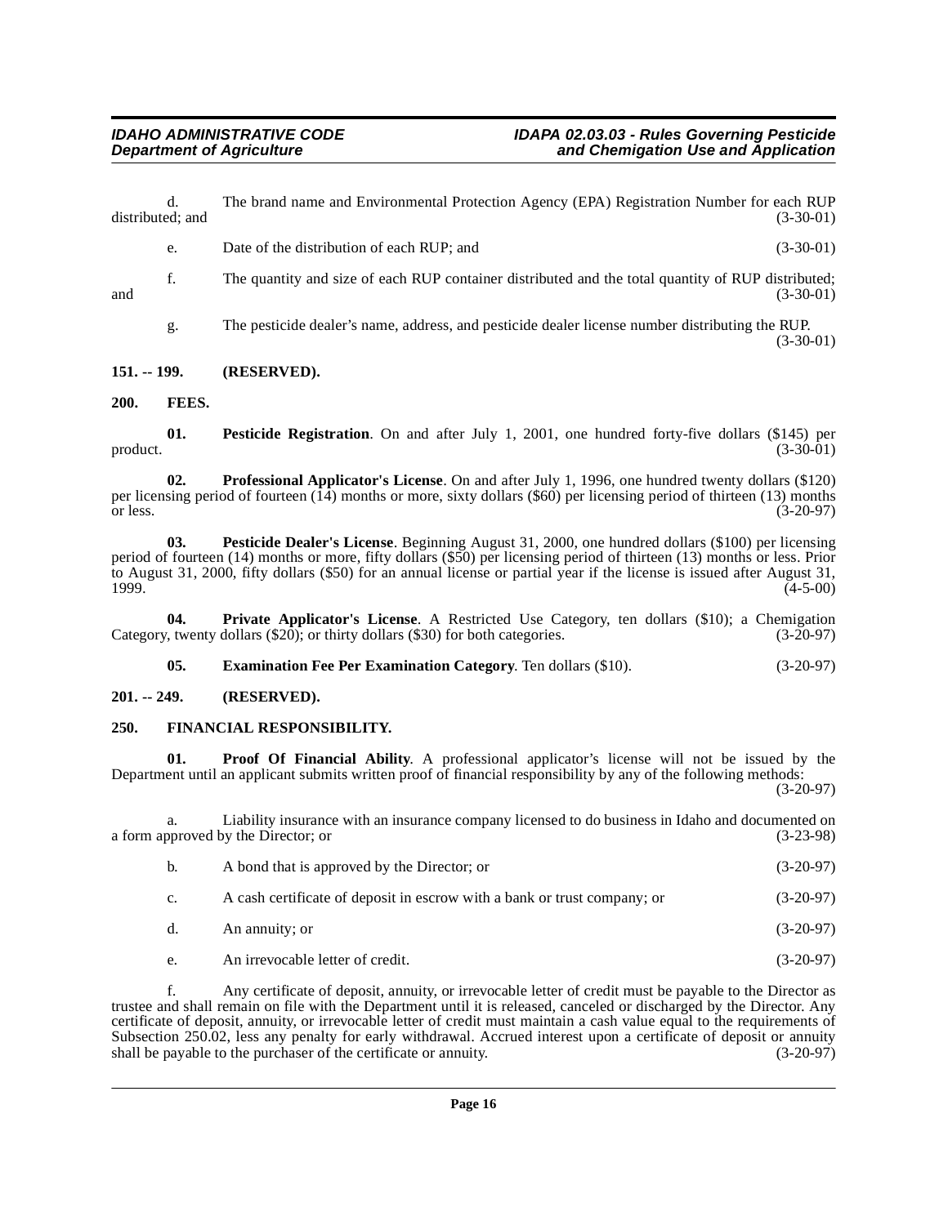d. The brand name and Environmental Protection Agency (EPA) Registration Number for each RUP distributed; and (3-30-01) (3-30-01)

- e. Date of the distribution of each RUP; and (3-30-01)
- f. The quantity and size of each RUP container distributed and the total quantity of RUP distributed;<br>(3-30-01) and  $(3-30-01)$

g. The pesticide dealer's name, address, and pesticide dealer license number distributing the RUP. (3-30-01)

#### <span id="page-15-0"></span>**151. -- 199. (RESERVED).**

<span id="page-15-5"></span><span id="page-15-1"></span>**200. FEES.**

<span id="page-15-8"></span>**01.** Pesticide Registration. On and after July 1, 2001, one hundred forty-five dollars (\$145) per (3-30-01)  $\text{product.}$  (3-30-01)

<span id="page-15-10"></span>**02. Professional Applicator's License**. On and after July 1, 1996, one hundred twenty dollars (\$120) per licensing period of fourteen  $(14)$  months or more, sixty dollars (\$60) per licensing period of thirteen (13) months or less. (3-20-97) or less.  $(3-20-97)$ 

<span id="page-15-7"></span>**03. Pesticide Dealer's License**. Beginning August 31, 2000, one hundred dollars (\$100) per licensing period of fourteen (14) months or more, fifty dollars (\$50) per licensing period of thirteen (13) months or less. Prior to August 31, 2000, fifty dollars (\$50) for an annual license or partial year if the license is issued after August 31,  $(4-5-00)$ 

**04. Private Applicator's License**. A Restricted Use Category, ten dollars (\$10); a Chemigation *t*, twenty dollars (\$20); or thirty dollars (\$30) for both categories. (3-20-97) Category, twenty dollars  $(\$20)$ ; or thirty dollars  $(\$30)$  for both categories.

<span id="page-15-11"></span><span id="page-15-9"></span><span id="page-15-6"></span><span id="page-15-4"></span>**05. Examination Fee Per Examination Category**. Ten dollars (\$10). (3-20-97)

<span id="page-15-2"></span>**201. -- 249. (RESERVED).**

### <span id="page-15-3"></span>**250. FINANCIAL RESPONSIBILITY.**

**01. Proof Of Financial Ability**. A professional applicator's license will not be issued by the Department until an applicant submits written proof of financial responsibility by any of the following methods: (3-20-97)

a. Liability insurance with an insurance company licensed to do business in Idaho and documented on a form approved by the Director; or (3-23-98)

- b. A bond that is approved by the Director; or (3-20-97) c. A cash certificate of deposit in escrow with a bank or trust company; or (3-20-97) d. An annuity; or  $(3-20-97)$
- e. An irrevocable letter of credit. (3-20-97)

f. Any certificate of deposit, annuity, or irrevocable letter of credit must be payable to the Director as trustee and shall remain on file with the Department until it is released, canceled or discharged by the Director. Any certificate of deposit, annuity, or irrevocable letter of credit must maintain a cash value equal to the requirements of Subsection 250.02, less any penalty for early withdrawal. Accrued interest upon a certificate of deposit or annuity shall be payable to the purchaser of the certificate or annuity. (3-20-97) shall be payable to the purchaser of the certificate or annuity.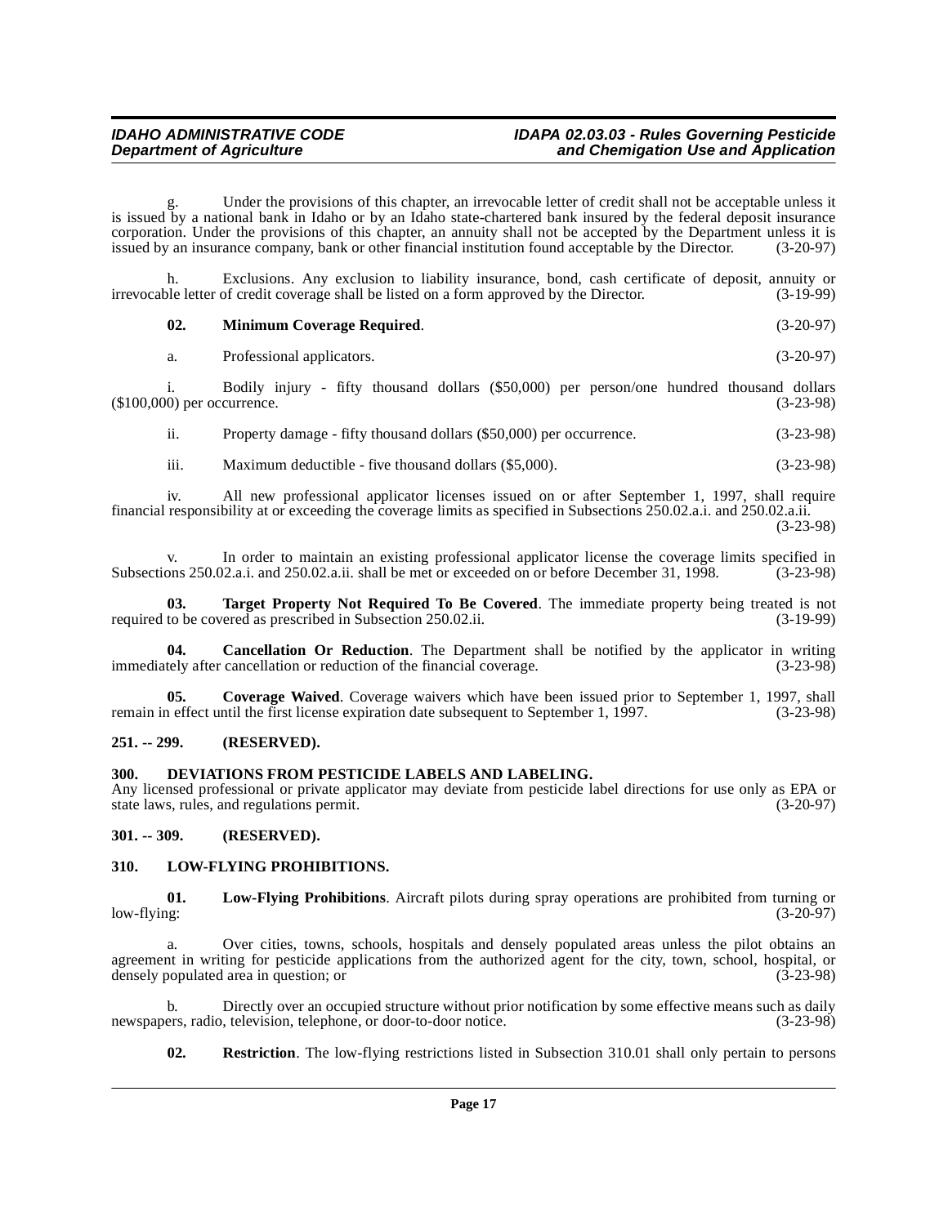Under the provisions of this chapter, an irrevocable letter of credit shall not be acceptable unless it is issued by a national bank in Idaho or by an Idaho state-chartered bank insured by the federal deposit insurance corporation. Under the provisions of this chapter, an annuity shall not be accepted by the Department unless it is issued by an insurance company, bank or other financial institution found acceptable by the Director. (3-20-97)

h. Exclusions. Any exclusion to liability insurance, bond, cash certificate of deposit, annuity or ble letter of credit coverage shall be listed on a form approved by the Director. (3-19-99) irrevocable letter of credit coverage shall be listed on a form approved by the Director.

<span id="page-16-8"></span>**02. Minimum Coverage Required**. (3-20-97)

a. Professional applicators. (3-20-97)

i. Bodily injury - fifty thousand dollars (\$50,000) per person/one hundred thousand dollars (\$100,000) per occurrence. (3-23-98)

ii. Property damage - fifty thousand dollars (\$50,000) per occurrence. (3-23-98)

iii. Maximum deductible - five thousand dollars (\$5,000). (3-23-98)

iv. All new professional applicator licenses issued on or after September 1, 1997, shall require financial responsibility at or exceeding the coverage limits as specified in Subsections 250.02.a.i. and 250.02.a.ii. (3-23-98)

v. In order to maintain an existing professional applicator license the coverage limits specified in<br>ons 250.02.a.i. and 250.02.a.ii. shall be met or exceeded on or before December 31, 1998. (3-23-98) Subsections 250.02.a.i. and 250.02.a.ii. shall be met or exceeded on or before December 31, 1998.

<span id="page-16-10"></span>**03. Target Property Not Required To Be Covered**. The immediate property being treated is not to be covered as prescribed in Subsection 250.02.ii. (3-19-99) required to be covered as prescribed in Subsection 250.02.ii.

<span id="page-16-4"></span>**04. Cancellation Or Reduction**. The Department shall be notified by the applicator in writing tely after cancellation or reduction of the financial coverage. (3-23-98) immediately after cancellation or reduction of the financial coverage.

<span id="page-16-5"></span>**05. Coverage Waived**. Coverage waivers which have been issued prior to September 1, 1997, shall n effect until the first license expiration date subsequent to September 1, 1997. (3-23-98) remain in effect until the first license expiration date subsequent to September 1, 1997.

#### <span id="page-16-0"></span>**251. -- 299. (RESERVED).**

#### <span id="page-16-6"></span><span id="page-16-1"></span>**300. DEVIATIONS FROM PESTICIDE LABELS AND LABELING.**

Any licensed professional or private applicator may deviate from pesticide label directions for use only as EPA or state laws, rules, and regulations permit. (3-20-97)

<span id="page-16-2"></span>**301. -- 309. (RESERVED).**

### <span id="page-16-7"></span><span id="page-16-3"></span>**310. LOW-FLYING PROHIBITIONS.**

**01. Low-Flying Prohibitions**. Aircraft pilots during spray operations are prohibited from turning or low-flying: (3-20-97)

Over cities, towns, schools, hospitals and densely populated areas unless the pilot obtains an agreement in writing for pesticide applications from the authorized agent for the city, town, school, hospital, or densely populated area in question; or (3-23-98)

b. Directly over an occupied structure without prior notification by some effective means such as daily ers. radio, television, telephone, or door-to-door notice. (3-23-98) newspapers, radio, television, telephone, or door-to-door notice.

<span id="page-16-9"></span>**02. Restriction**. The low-flying restrictions listed in Subsection 310.01 shall only pertain to persons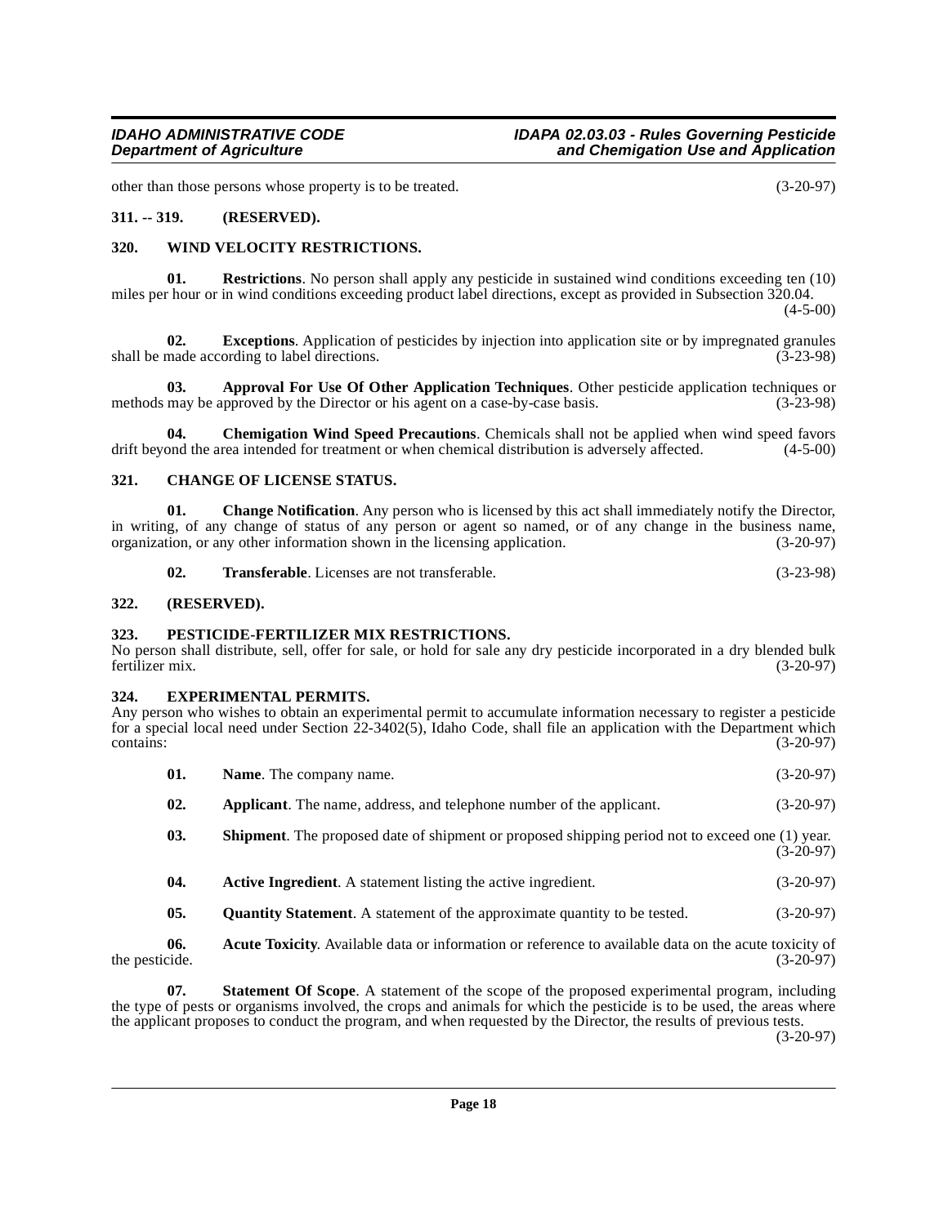other than those persons whose property is to be treated. (3-20-97)

#### <span id="page-17-0"></span>**311. -- 319. (RESERVED).**

#### <span id="page-17-21"></span><span id="page-17-1"></span>**320. WIND VELOCITY RESTRICTIONS.**

**01. Restrictions**. No person shall apply any pesticide in sustained wind conditions exceeding ten (10) miles per hour or in wind conditions exceeding product label directions, except as provided in Subsection 320.04.

 $(4-5-00)$ 

<span id="page-17-13"></span>**02. Exceptions**. Application of pesticides by injection into application site or by impregnated granules made according to label directions. (3-23-98) shall be made according to label directions.

<span id="page-17-9"></span>**03. Approval For Use Of Other Application Techniques**. Other pesticide application techniques or methods may be approved by the Director or his agent on a case-by-case basis.  $(3-23-98)$ 

<span id="page-17-12"></span>**04.** Chemigation Wind Speed Precautions. Chemicals shall not be applied when wind speed favors ond the area intended for treatment or when chemical distribution is adversely affected.  $(4-5-00)$ drift beyond the area intended for treatment or when chemical distribution is adversely affected.

#### <span id="page-17-11"></span><span id="page-17-2"></span>**321. CHANGE OF LICENSE STATUS.**

**01. Change Notification**. Any person who is licensed by this act shall immediately notify the Director, in writing, of any change of status of any person or agent so named, or of any change in the business name, organization, or any other information shown in the licensing application. (3-20-97) organization, or any other information shown in the licensing application.

<span id="page-17-20"></span><span id="page-17-16"></span><span id="page-17-10"></span>**02. Transferable**. Licenses are not transferable. (3-23-98)

#### <span id="page-17-3"></span>**322. (RESERVED).**

#### <span id="page-17-4"></span>**323. PESTICIDE-FERTILIZER MIX RESTRICTIONS.**

No person shall distribute, sell, offer for sale, or hold for sale any dry pesticide incorporated in a dry blended bulk fertilizer mix. (3-20-97)

#### <span id="page-17-14"></span><span id="page-17-5"></span>**324. EXPERIMENTAL PERMITS.**

Any person who wishes to obtain an experimental permit to accumulate information necessary to register a pesticide for a special local need under Section 22-3402(5), Idaho Code, shall file an application with the Department which  $\text{contains:}$  (3-20-97)

- <span id="page-17-15"></span>**01.** Name. The company name. (3-20-97)
- <span id="page-17-8"></span>**02.** Applicant. The name, address, and telephone number of the applicant. (3-20-97)
- <span id="page-17-18"></span>**03.** Shipment. The proposed date of shipment or proposed shipping period not to exceed one (1) year. (3-20-97)
- <span id="page-17-6"></span>**04.** Active Ingredient. A statement listing the active ingredient. (3-20-97)
- <span id="page-17-19"></span><span id="page-17-17"></span><span id="page-17-7"></span>**05.** Quantity Statement. A statement of the approximate quantity to be tested.  $(3-20-97)$

**06.** Acute Toxicity. Available data or information or reference to available data on the acute toxicity of cide. (3-20-97) the pesticide.

**07. Statement Of Scope**. A statement of the scope of the proposed experimental program, including the type of pests or organisms involved, the crops and animals for which the pesticide is to be used, the areas where the applicant proposes to conduct the program, and when requested by the Director, the results of previous tests.

(3-20-97)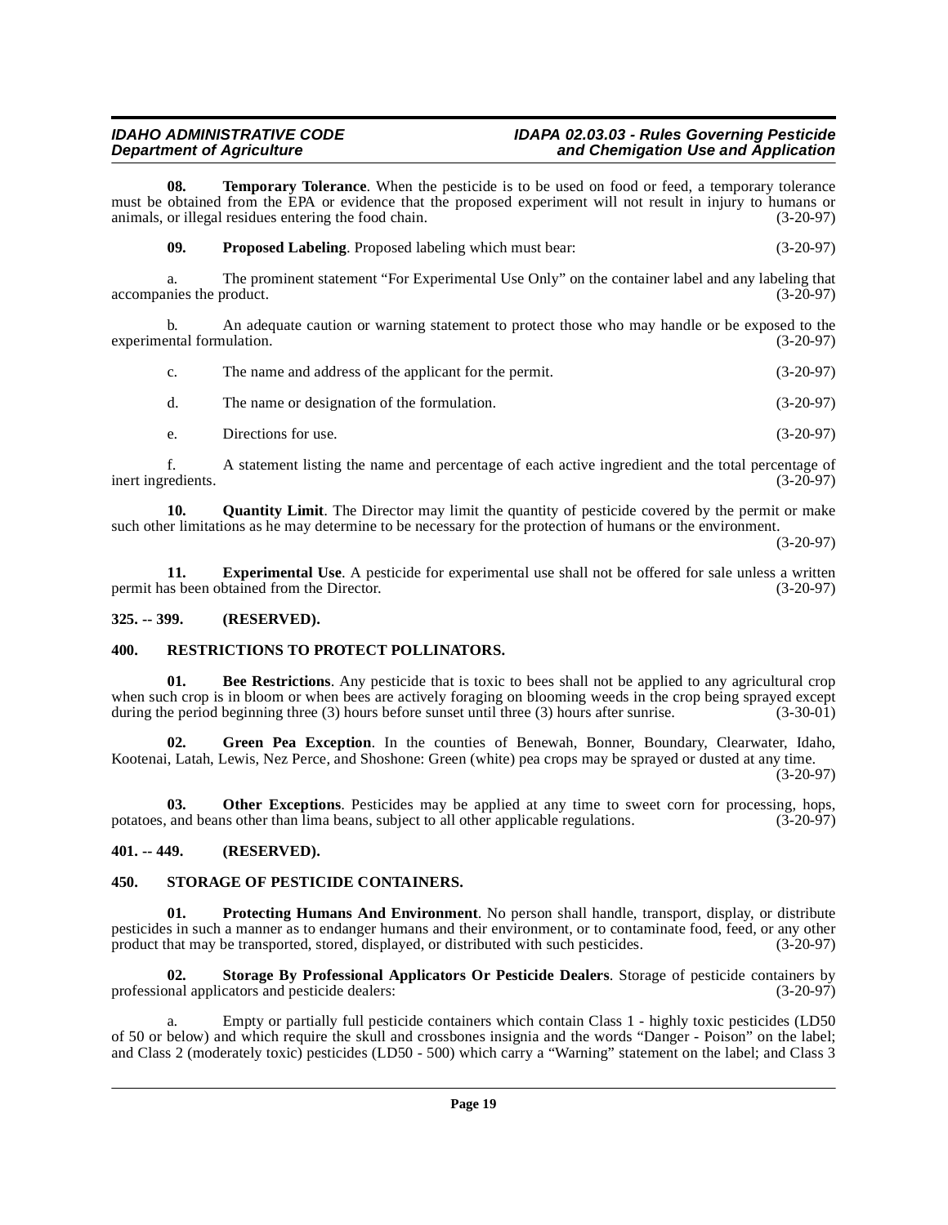# **IDAHO ADMINISTRATIVE CODE IDAPA 02.03.03 - Rules Governing Pesticide**<br>Department of Agriculture **interpret in the and Chemigation Use and Application**

**08. Temporary Tolerance**. When the pesticide is to be used on food or feed, a temporary tolerance must be obtained from the EPA or evidence that the proposed experiment will not result in injury to humans or animals, or illegal residues entering the food chain. (3-20-97) animals, or illegal residues entering the food chain.

<span id="page-18-14"></span><span id="page-18-8"></span>**09.** Proposed Labeling. Proposed labeling which must bear: (3-20-97)

a. The prominent statement "For Experimental Use Only" on the container label and any labeling that nies the product. (3-20-97) accompanies the product.

b. An adequate caution or warning statement to protect those who may handle or be exposed to the ental formulation. (3-20-97) experimental formulation.

| C. | The name and address of the applicant for the permit. | $(3-20-97)$ |
|----|-------------------------------------------------------|-------------|
|    | The name or designation of the formulation.           | $(3-20-97)$ |

<span id="page-18-10"></span>e. Directions for use. (3-20-97)

f. A statement listing the name and percentage of each active ingredient and the total percentage of inert ingredients.

**10. Quantity Limit**. The Director may limit the quantity of pesticide covered by the permit or make such other limitations as he may determine to be necessary for the protection of humans or the environment.

(3-20-97)

<span id="page-18-5"></span>**11. Experimental Use**. A pesticide for experimental use shall not be offered for sale unless a written as been obtained from the Director. (3-20-97) permit has been obtained from the Director.

#### <span id="page-18-0"></span>**325. -- 399. (RESERVED).**

### <span id="page-18-11"></span><span id="page-18-1"></span>**400. RESTRICTIONS TO PROTECT POLLINATORS.**

<span id="page-18-4"></span>**01. Bee Restrictions**. Any pesticide that is toxic to bees shall not be applied to any agricultural crop when such crop is in bloom or when bees are actively foraging on blooming weeds in the crop being sprayed except during the period beginning three (3) hours before sunset until three (3) hours after sunrise. (3-30-01) during the period beginning three  $(3)$  hours before sunset until three  $(3)$  hours after sunrise.

<span id="page-18-6"></span>Green Pea Exception. In the counties of Benewah, Bonner, Boundary, Clearwater, Idaho, Kootenai, Latah, Lewis, Nez Perce, and Shoshone: Green (white) pea crops may be sprayed or dusted at any time.

(3-20-97)

<span id="page-18-7"></span>**03. Other Exceptions**. Pesticides may be applied at any time to sweet corn for processing, hops, and beans other than lima beans, subject to all other applicable regulations. (3-20-97) potatoes, and beans other than lima beans, subject to all other applicable regulations.

### <span id="page-18-2"></span>**401. -- 449. (RESERVED).**

### <span id="page-18-13"></span><span id="page-18-3"></span>**450. STORAGE OF PESTICIDE CONTAINERS.**

<span id="page-18-9"></span>**01. Protecting Humans And Environment**. No person shall handle, transport, display, or distribute pesticides in such a manner as to endanger humans and their environment, or to contaminate food, feed, or any other<br>product that may be transported, stored, displayed, or distributed with such pesticides. (3-20-97) product that may be transported, stored, displayed, or distributed with such pesticides.

<span id="page-18-12"></span>**02. Storage By Professional Applicators Or Pesticide Dealers**. Storage of pesticide containers by professional applicators and pesticide dealers:

a. Empty or partially full pesticide containers which contain Class 1 - highly toxic pesticides (LD50 of 50 or below) and which require the skull and crossbones insignia and the words "Danger - Poison" on the label; and Class 2 (moderately toxic) pesticides (LD50 - 500) which carry a "Warning" statement on the label; and Class 3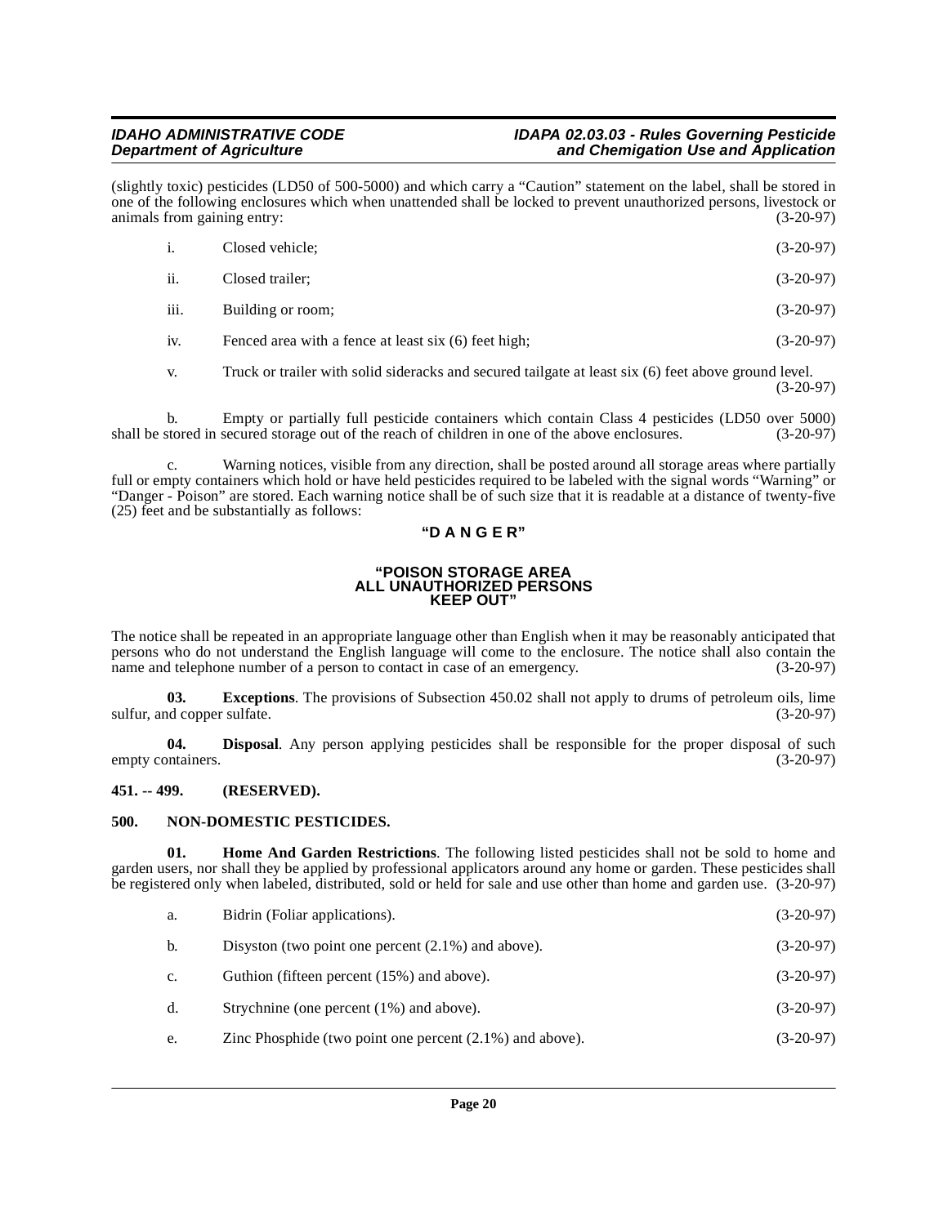(slightly toxic) pesticides (LD50 of 500-5000) and which carry a "Caution" statement on the label, shall be stored in one of the following enclosures which when unattended shall be locked to prevent unauthorized persons, livestock or<br>(3-20-97) (3-20-97) animals from gaining entry:

| <sup>i</sup> . | Closed vehicle;                                      | $(3-20-97)$ |
|----------------|------------------------------------------------------|-------------|
| ii.            | Closed trailer;                                      | $(3-20-97)$ |
| iii.           | Building or room;                                    | $(3-20-97)$ |
| iv.            | Fenced area with a fence at least six (6) feet high; | $(3-20-97)$ |

v. Truck or trailer with solid sideracks and secured tailgate at least six (6) feet above ground level. (3-20-97)

b. Empty or partially full pesticide containers which contain Class 4 pesticides (LD50 over 5000) stored in secured storage out of the reach of children in one of the above enclosures. (3-20-97) shall be stored in secured storage out of the reach of children in one of the above enclosures.

c. Warning notices, visible from any direction, shall be posted around all storage areas where partially full or empty containers which hold or have held pesticides required to be labeled with the signal words "Warning" or "Danger - Poison" are stored. Each warning notice shall be of such size that it is readable at a distance of twenty-five (25) feet and be substantially as follows:

### **"D A N G E R"**

#### **"POISON STORAGE AREA ALL UNAUTHORIZED PERSONS KEEP OUT"**

The notice shall be repeated in an appropriate language other than English when it may be reasonably anticipated that persons who do not understand the English language will come to the enclosure. The notice shall also contain the name and telephone number of a person to contact in case of an emergency. (3-20-97)

<span id="page-19-3"></span>**03. Exceptions**. The provisions of Subsection 450.02 shall not apply to drums of petroleum oils, lime sulfur, and copper sulfate. (3-20-97)

<span id="page-19-2"></span>**04. Disposal**. Any person applying pesticides shall be responsible for the proper disposal of such empty containers. (3-20-97)

### <span id="page-19-0"></span>**451. -- 499. (RESERVED).**

#### <span id="page-19-5"></span><span id="page-19-1"></span>**500. NON-DOMESTIC PESTICIDES.**

**01. Home And Garden Restrictions**. The following listed pesticides shall not be sold to home and garden users, nor shall they be applied by professional applicators around any home or garden. These pesticides shall be registered only when labeled, distributed, sold or held for sale and use other than home and garden use. (3-20-97)

<span id="page-19-4"></span>

| a. | Bidrin (Foliar applications).                         | $(3-20-97)$ |
|----|-------------------------------------------------------|-------------|
| b. | Disyston (two point one percent $(2.1\%)$ and above). | $(3-20-97)$ |
| c. | Guthion (fifteen percent (15%) and above).            | $(3-20-97)$ |
| d. | Strychnine (one percent $(1%)$ and above).            | $(3-20-97)$ |
|    |                                                       |             |

e. Zinc Phosphide (two point one percent (2.1%) and above). (3-20-97)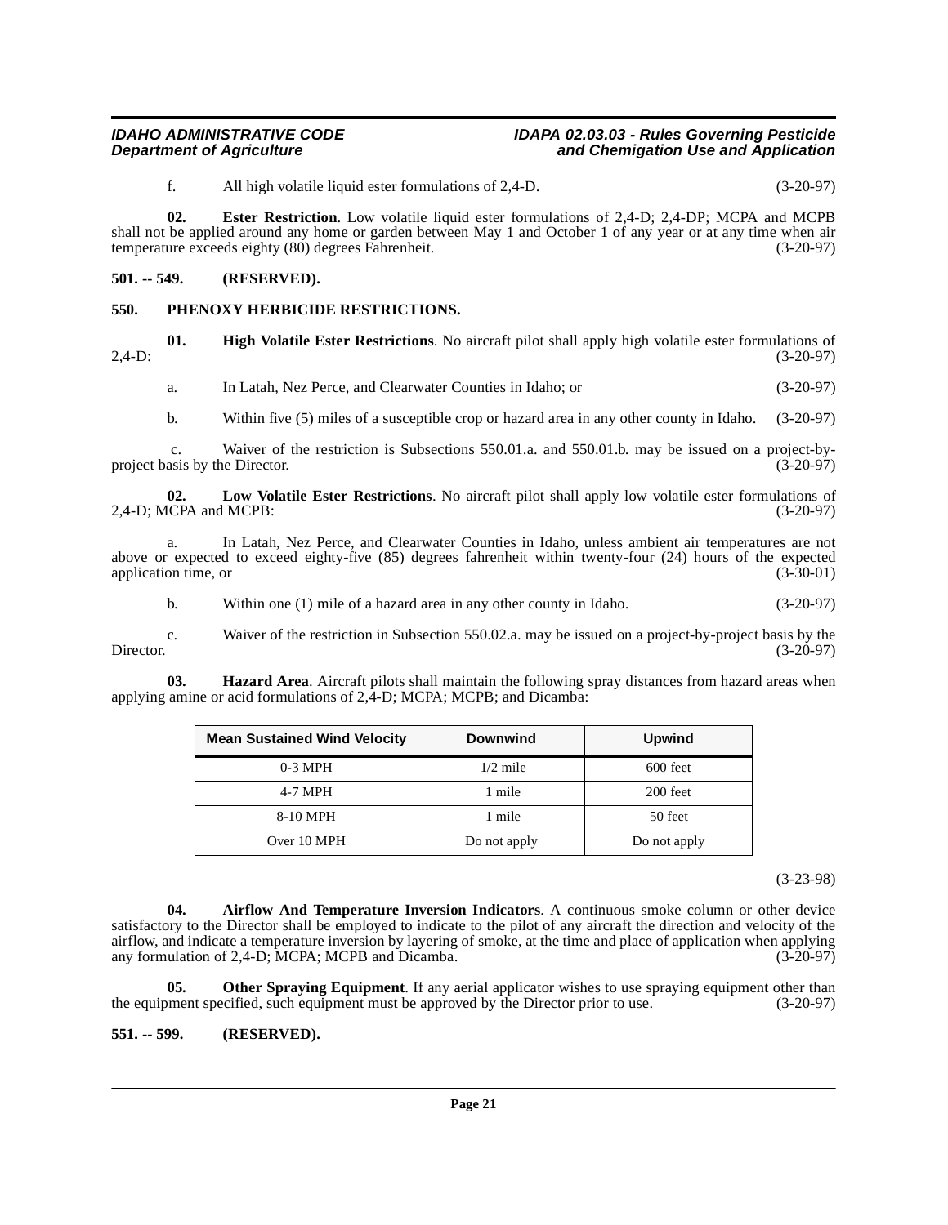<span id="page-20-4"></span>f. All high volatile liquid ester formulations of 2,4-D. (3-20-97)

**02. Ester Restriction**. Low volatile liquid ester formulations of 2,4-D; 2,4-DP; MCPA and MCPB shall not be applied around any home or garden between May 1 and October 1 of any year or at any time when air temperature exceeds eighty (80) degrees Fahrenheit. (3-20-97)

#### <span id="page-20-0"></span>**501. -- 549. (RESERVED).**

#### <span id="page-20-9"></span><span id="page-20-1"></span>**550. PHENOXY HERBICIDE RESTRICTIONS.**

**01. High Volatile Ester Restrictions**. No aircraft pilot shall apply high volatile ester formulations of (3-20-97) 2,4-D: (3-20-97)

<span id="page-20-6"></span>a. In Latah, Nez Perce, and Clearwater Counties in Idaho; or (3-20-97)

<span id="page-20-7"></span>b. Within five (5) miles of a susceptible crop or hazard area in any other county in Idaho. (3-20-97)

 c. Waiver of the restriction is Subsections 550.01.a. and 550.01.b. may be issued on a project-byproject basis by the Director. (3-20-97)

**02.** Low Volatile Ester Restrictions. No aircraft pilot shall apply low volatile ester formulations of ICPA and MCPB: (3-20-97) 2,4-D; MCPA and MCPB:

a. In Latah, Nez Perce, and Clearwater Counties in Idaho, unless ambient air temperatures are not above or expected to exceed eighty-five (85) degrees fahrenheit within twenty-four (24) hours of the expected application time, or

b. Within one (1) mile of a hazard area in any other county in Idaho. (3-20-97)

c. Waiver of the restriction in Subsection 550.02.a. may be issued on a project-by-project basis by the Director. (3-20-97)

**03. Hazard Area**. Aircraft pilots shall maintain the following spray distances from hazard areas when applying amine or acid formulations of 2,4-D; MCPA; MCPB; and Dicamba:

<span id="page-20-5"></span>

| <b>Mean Sustained Wind Velocity</b> | <b>Downwind</b> | <b>Upwind</b> |
|-------------------------------------|-----------------|---------------|
| $0-3$ MPH                           | $1/2$ mile      | 600 feet      |
| 4-7 MPH                             | 1 mile          | 200 feet      |
| 8-10 MPH                            | 1 mile          | 50 feet       |
| Over 10 MPH                         | Do not apply    | Do not apply  |

(3-23-98)

<span id="page-20-3"></span>**04. Airflow And Temperature Inversion Indicators**. A continuous smoke column or other device satisfactory to the Director shall be employed to indicate to the pilot of any aircraft the direction and velocity of the airflow, and indicate a temperature inversion by layering of smoke, at the time and place of application when applying any formulation of 2,4-D; MCPA; MCPB and Dicamba. (3-20-97)

<span id="page-20-8"></span>**05.** Other Spraying Equipment. If any aerial applicator wishes to use spraying equipment other than the equipment specified, such equipment must be approved by the Director prior to use. (3-20-97)

#### <span id="page-20-2"></span>**551. -- 599. (RESERVED).**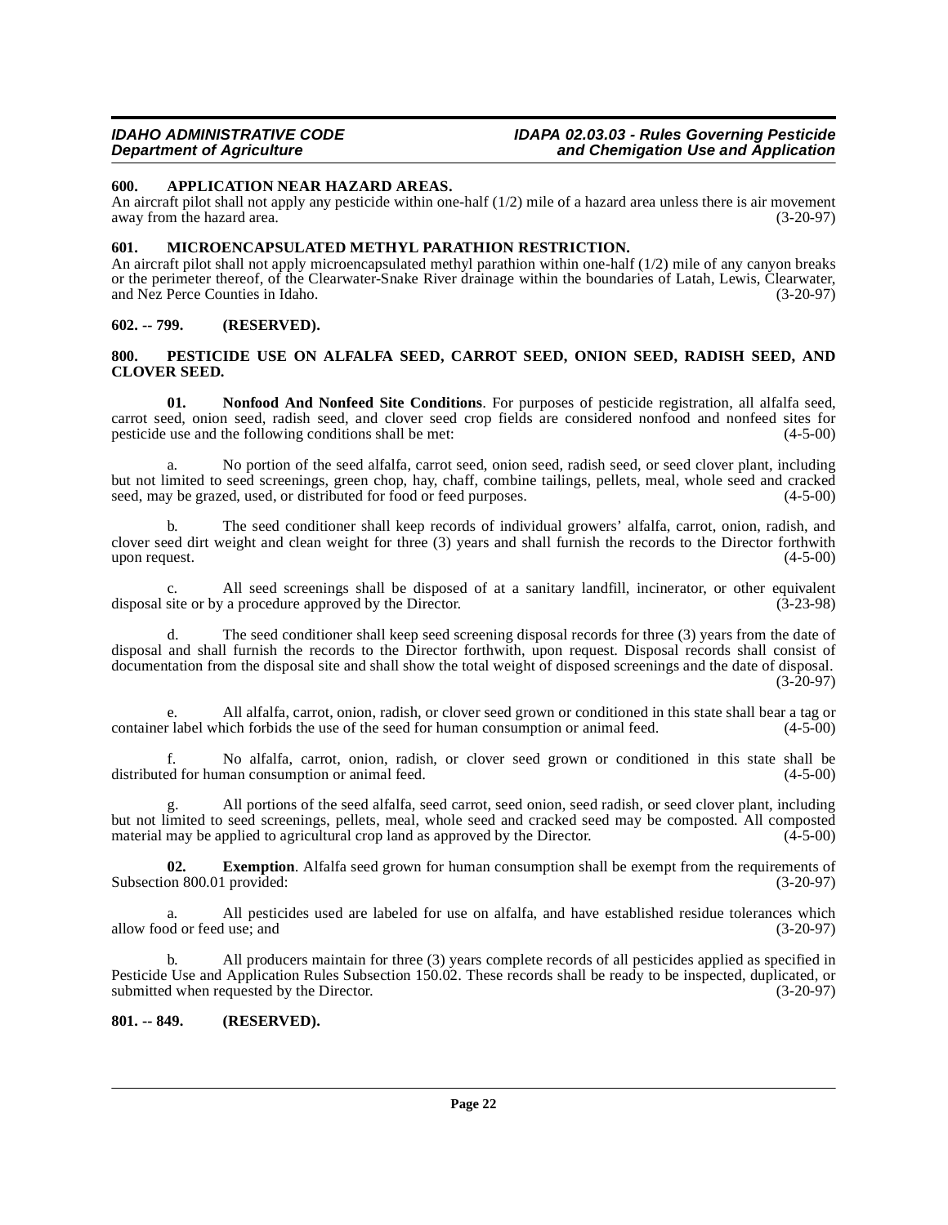#### <span id="page-21-5"></span><span id="page-21-0"></span>**600. APPLICATION NEAR HAZARD AREAS.**

An aircraft pilot shall not apply any pesticide within one-half  $(1/2)$  mile of a hazard area unless there is air movement away from the hazard area.  $(3-20-97)$ away from the hazard area.

#### <span id="page-21-7"></span><span id="page-21-1"></span>**601. MICROENCAPSULATED METHYL PARATHION RESTRICTION.**

An aircraft pilot shall not apply microencapsulated methyl parathion within one-half (1/2) mile of any canyon breaks or the perimeter thereof, of the Clearwater-Snake River drainage within the boundaries of Latah, Lewis, Clearwater, and Nez Perce Counties in Idaho. (3-20-97)

#### <span id="page-21-2"></span>**602. -- 799. (RESERVED).**

#### <span id="page-21-9"></span><span id="page-21-3"></span>**800. PESTICIDE USE ON ALFALFA SEED, CARROT SEED, ONION SEED, RADISH SEED, AND CLOVER SEED.**

<span id="page-21-8"></span>**01. Nonfood And Nonfeed Site Conditions**. For purposes of pesticide registration, all alfalfa seed, carrot seed, onion seed, radish seed, and clover seed crop fields are considered nonfood and nonfeed sites for pesticide use and the following conditions shall be met:

a. No portion of the seed alfalfa, carrot seed, onion seed, radish seed, or seed clover plant, including but not limited to seed screenings, green chop, hay, chaff, combine tailings, pellets, meal, whole seed and cracked seed, may be grazed, used, or distributed for food or feed purposes.

b. The seed conditioner shall keep records of individual growers' alfalfa, carrot, onion, radish, and clover seed dirt weight and clean weight for three (3) years and shall furnish the records to the Director forthwith upon request.  $(4-5-00)$ 

c. All seed screenings shall be disposed of at a sanitary landfill, incinerator, or other equivalent site or by a procedure approved by the Director. (3-23-98) disposal site or by a procedure approved by the Director.

d. The seed conditioner shall keep seed screening disposal records for three (3) years from the date of disposal and shall furnish the records to the Director forthwith, upon request. Disposal records shall consist of documentation from the disposal site and shall show the total weight of disposed screenings and the date of disposal. (3-20-97)

e. All alfalfa, carrot, onion, radish, or clover seed grown or conditioned in this state shall bear a tag or container label which forbids the use of the seed for human consumption or animal feed.

f. No alfalfa, carrot, onion, radish, or clover seed grown or conditioned in this state shall be distributed for human consumption or animal feed.

g. All portions of the seed alfalfa, seed carrot, seed onion, seed radish, or seed clover plant, including but not limited to seed screenings, pellets, meal, whole seed and cracked seed may be composted. All composted material may be applied to agricultural crop land as approved by the Director. (4-5-00)

<span id="page-21-6"></span>**02. Exemption**. Alfalfa seed grown for human consumption shall be exempt from the requirements of on 800.01 provided: (3-20-97) Subsection 800.01 provided:

a. All pesticides used are labeled for use on alfalfa, and have established residue tolerances which allow food or feed use; and

b. All producers maintain for three (3) years complete records of all pesticides applied as specified in Pesticide Use and Application Rules Subsection 150.02. These records shall be ready to be inspected, duplicated, or submitted when requested by the Director. (3-20-97)

### <span id="page-21-4"></span>**801. -- 849. (RESERVED).**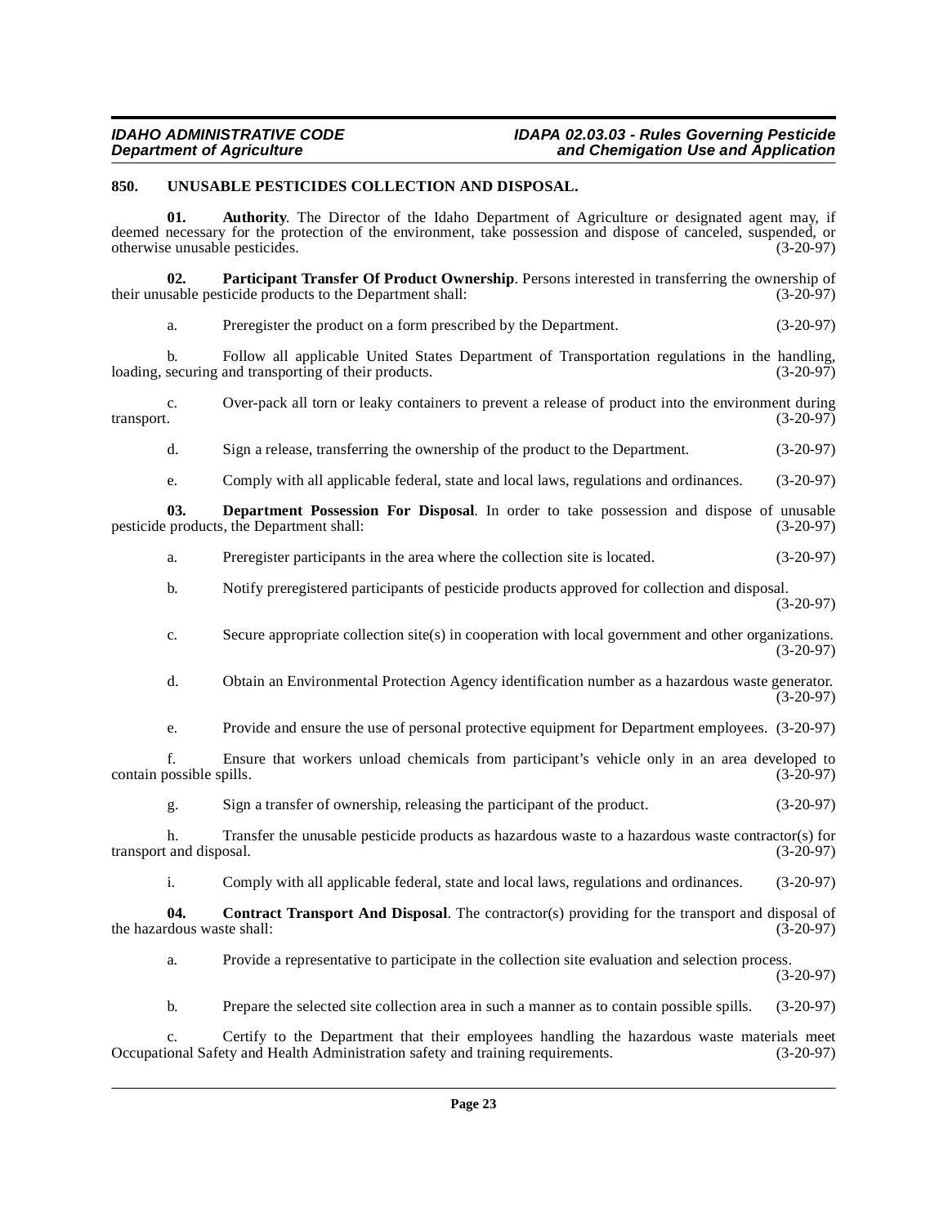#### <span id="page-22-5"></span><span id="page-22-0"></span>**850. UNUSABLE PESTICIDES COLLECTION AND DISPOSAL.**

<span id="page-22-1"></span>**01. Authority**. The Director of the Idaho Department of Agriculture or designated agent may, if deemed necessary for the protection of the environment, take possession and dispose of canceled, suspended, or otherwise unusable pesticides. (3-20-97)

**02.** Participant Transfer Of Product Ownership. Persons interested in transferring the ownership of sable pesticide products to the Department shall: (3-20-97) their unusable pesticide products to the Department shall:

<span id="page-22-4"></span>a. Preregister the product on a form prescribed by the Department. (3-20-97)

b. Follow all applicable United States Department of Transportation regulations in the handling, securing and transporting of their products. (3-20-97) loading, securing and transporting of their products.

c. Over-pack all torn or leaky containers to prevent a release of product into the environment during transport. (3-20-97) transport. (3-20-97)

d. Sign a release, transferring the ownership of the product to the Department. (3-20-97)

<span id="page-22-3"></span>e. Comply with all applicable federal, state and local laws, regulations and ordinances. (3-20-97)

**03. Department Possession For Disposal**. In order to take possession and dispose of unusable products, the Department shall: (3-20-97) pesticide products, the Department shall:

a. Preregister participants in the area where the collection site is located. (3-20-97)

b. Notify preregistered participants of pesticide products approved for collection and disposal. (3-20-97)

c. Secure appropriate collection site(s) in cooperation with local government and other organizations. (3-20-97)

d. Obtain an Environmental Protection Agency identification number as a hazardous waste generator. (3-20-97)

e. Provide and ensure the use of personal protective equipment for Department employees. (3-20-97)

f. Ensure that workers unload chemicals from participant's vehicle only in an area developed to contain possible spills. (3-20-97)

g. Sign a transfer of ownership, releasing the participant of the product. (3-20-97)

h. Transfer the unusable pesticide products as hazardous waste to a hazardous waste contractor(s) for t and disposal. (3-20-97) transport and disposal.

<span id="page-22-2"></span>i. Comply with all applicable federal, state and local laws, regulations and ordinances. (3-20-97)

**04.** Contract Transport And Disposal. The contractor(s) providing for the transport and disposal of clous waste shall: (3-20-97) the hazardous waste shall:

a. Provide a representative to participate in the collection site evaluation and selection process.

(3-20-97)

b. Prepare the selected site collection area in such a manner as to contain possible spills. (3-20-97)

c. Certify to the Department that their employees handling the hazardous waste materials meet ional Safety and Health Administration safety and training requirements. (3-20-97) Occupational Safety and Health Administration safety and training requirements.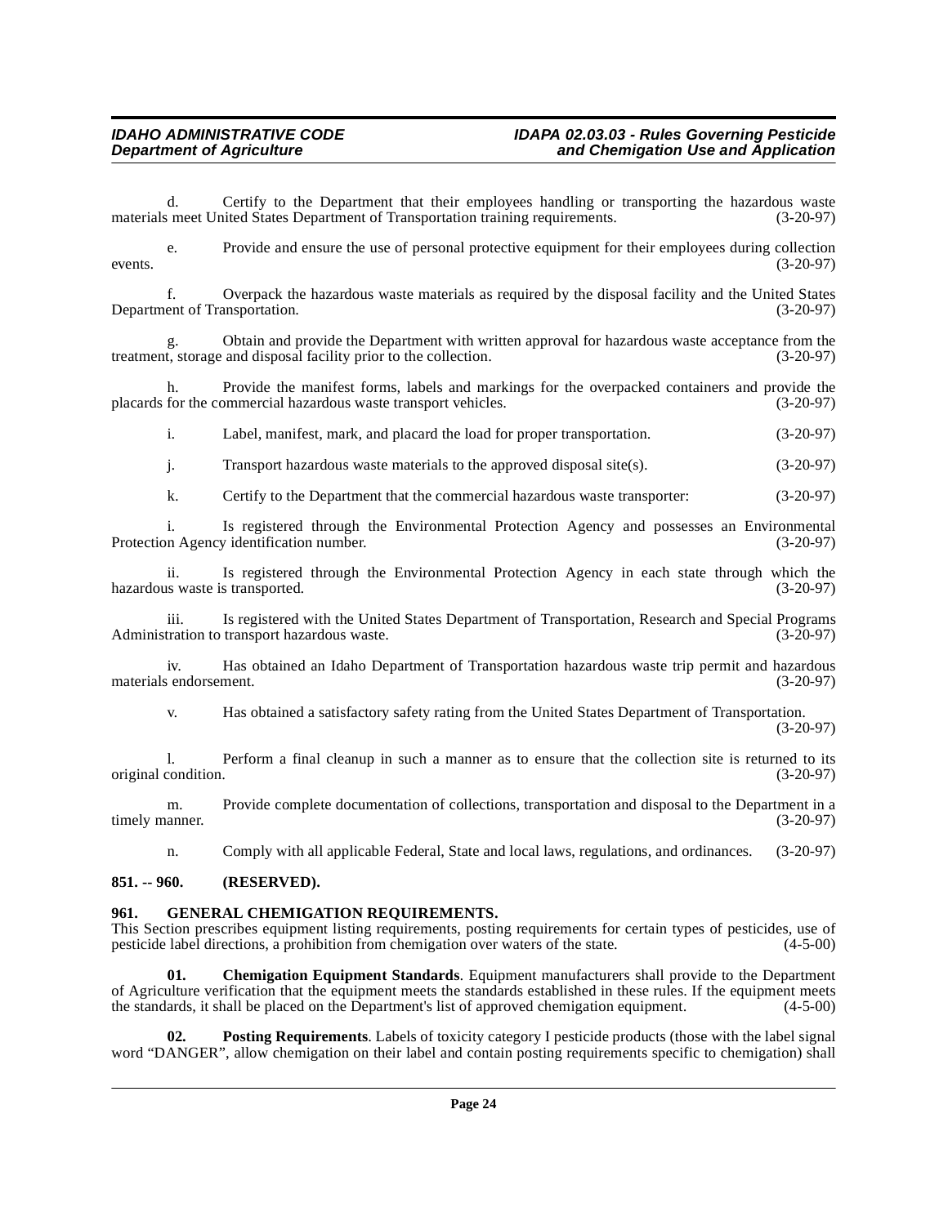d. Certify to the Department that their employees handling or transporting the hazardous waste<br>s meet United States Department of Transportation training requirements. (3-20-97) materials meet United States Department of Transportation training requirements.

e. Provide and ensure the use of personal protective equipment for their employees during collection events.  $(3-20-97)$ 

f. Overpack the hazardous waste materials as required by the disposal facility and the United States Department of Transportation.

g. Obtain and provide the Department with written approval for hazardous waste acceptance from the t, storage and disposal facility prior to the collection. (3-20-97) treatment, storage and disposal facility prior to the collection.

h. Provide the manifest forms, labels and markings for the overpacked containers and provide the placards for the commercial hazardous waste transport vehicles. (3-20-97)

i. Label, manifest, mark, and placard the load for proper transportation. (3-20-97)

j. Transport hazardous waste materials to the approved disposal site(s). (3-20-97)

k. Certify to the Department that the commercial hazardous waste transporter: (3-20-97)

i. Is registered through the Environmental Protection Agency and possesses an Environmental Protection Agency identification number.

ii. Is registered through the Environmental Protection Agency in each state through which the us waste is transported. (3-20-97) hazardous waste is transported.

iii. Is registered with the United States Department of Transportation, Research and Special Programs tration to transport hazardous waste. (3-20-97) Administration to transport hazardous waste.

iv. Has obtained an Idaho Department of Transportation hazardous waste trip permit and hazardous materials endorsement.

v. Has obtained a satisfactory safety rating from the United States Department of Transportation. (3-20-97)

l. Perform a final cleanup in such a manner as to ensure that the collection site is returned to its original condition. (3-20-97)

m. Provide complete documentation of collections, transportation and disposal to the Department in a timely manner.

<span id="page-23-3"></span>n. Comply with all applicable Federal, State and local laws, regulations, and ordinances. (3-20-97)

#### <span id="page-23-0"></span>**851. -- 960. (RESERVED).**

#### <span id="page-23-1"></span>**961. GENERAL CHEMIGATION REQUIREMENTS.**

This Section prescribes equipment listing requirements, posting requirements for certain types of pesticides, use of pesticide label directions, a prohibition from chemigation over waters of the state. (4-5-00) pesticide label directions, a prohibition from chemigation over waters of the state.

<span id="page-23-2"></span>**01. Chemigation Equipment Standards**. Equipment manufacturers shall provide to the Department of Agriculture verification that the equipment meets the standards established in these rules. If the equipment meets the standards, it shall be placed on the Department's list of approved chemigation equipment. (4-5-00) the standards, it shall be placed on the Department's list of approved chemigation equipment.

<span id="page-23-4"></span>**Posting Requirements**. Labels of toxicity category I pesticide products (those with the label signal word "DANGER", allow chemigation on their label and contain posting requirements specific to chemigation) shall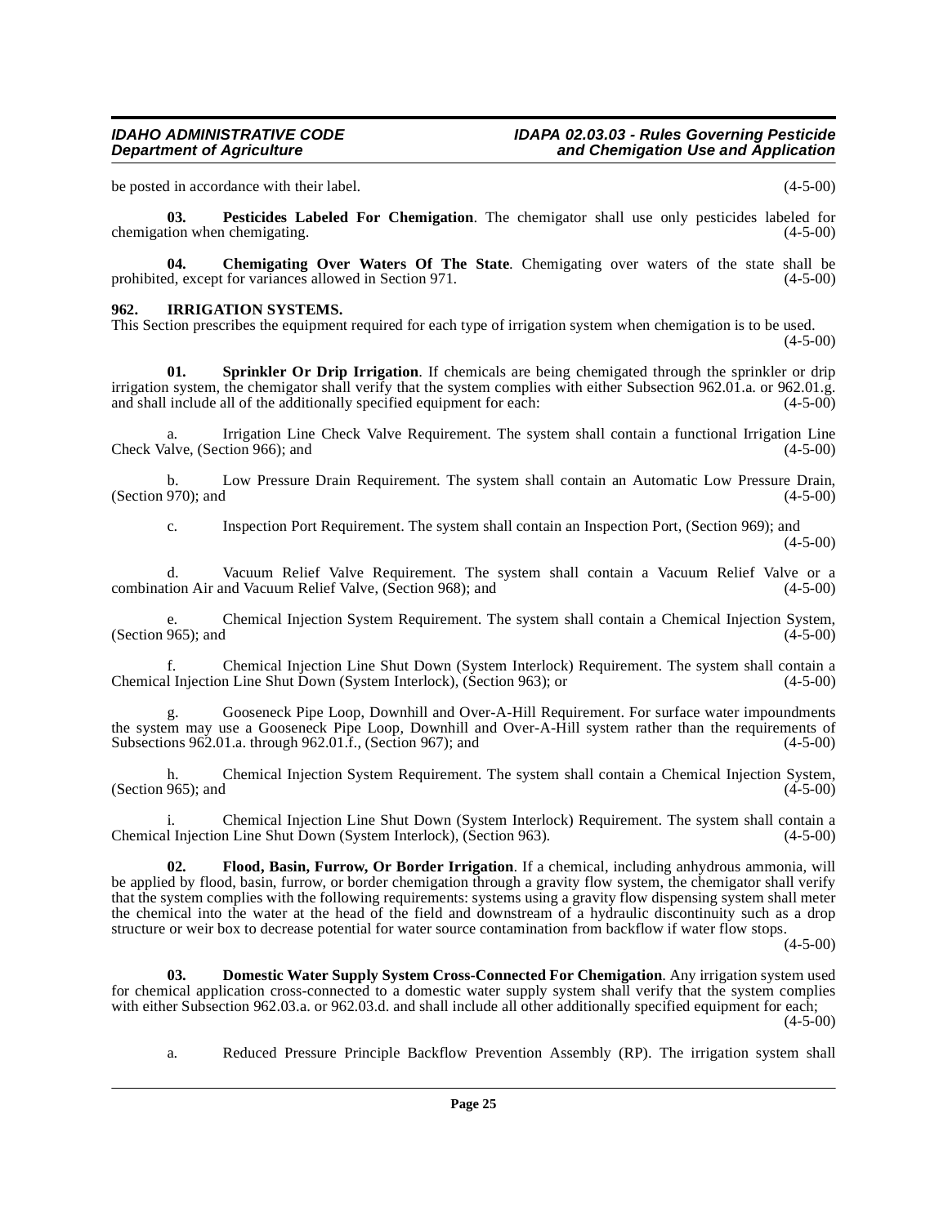be posted in accordance with their label. (4-5-00)

<span id="page-24-4"></span>**03. Pesticides Labeled For Chemigation**. The chemigator shall use only pesticides labeled for chemigation when chemigating. (4-5-00)

<span id="page-24-0"></span>**04.** Chemigating Over Waters Of The State. Chemigating over waters of the state shall be ed, except for variances allowed in Section 971. (4-5-00) prohibited, except for variances allowed in Section 971.

#### <span id="page-24-3"></span>**962. IRRIGATION SYSTEMS.**

This Section prescribes the equipment required for each type of irrigation system when chemigation is to be used.

 $(4-5-00)$ 

<span id="page-24-5"></span>**01. Sprinkler Or Drip Irrigation**. If chemicals are being chemigated through the sprinkler or drip irrigation system, the chemigator shall verify that the system complies with either Subsection 962.01.a. or 962.01.g. and shall include all of the additionally specified equipment for each: (4-5-00)

a. Irrigation Line Check Valve Requirement. The system shall contain a functional Irrigation Line (14-5-00) (4-5-00) Check Valve, (Section 966); and

b. Low Pressure Drain Requirement. The system shall contain an Automatic Low Pressure Drain, 970); and (4-5-00) (Section 970); and

c. Inspection Port Requirement. The system shall contain an Inspection Port, (Section 969); and  $(4-5-00)$ 

d. Vacuum Relief Valve Requirement. The system shall contain a Vacuum Relief Valve or a combination Air and Vacuum Relief Valve, (Section 968); and

e. Chemical Injection System Requirement. The system shall contain a Chemical Injection System, 965); and (4-5-00) (Section 965); and

f. Chemical Injection Line Shut Down (System Interlock) Requirement. The system shall contain a Chemical Injection Line Shut Down (System Interlock), (Section 963); or

g. Gooseneck Pipe Loop, Downhill and Over-A-Hill Requirement. For surface water impoundments the system may use a Gooseneck Pipe Loop, Downhill and Over-A-Hill system rather than the requirements of Subsections 962.01.a. through 962.01.f.. (Section 967): and (4-5-00) Subsections  $962.01.a.$  through  $962.01.f.,$  (Section  $967$ ); and

h. Chemical Injection System Requirement. The system shall contain a Chemical Injection System, (Section 965); and

i. Chemical Injection Line Shut Down (System Interlock) Requirement. The system shall contain a Chemical Injection Line Shut Down (System Interlock), (Section 963). (4-5-00)

<span id="page-24-2"></span>**02. Flood, Basin, Furrow, Or Border Irrigation**. If a chemical, including anhydrous ammonia, will be applied by flood, basin, furrow, or border chemigation through a gravity flow system, the chemigator shall verify that the system complies with the following requirements: systems using a gravity flow dispensing system shall meter the chemical into the water at the head of the field and downstream of a hydraulic discontinuity such as a drop structure or weir box to decrease potential for water source contamination from backflow if water flow stops.

 $(4-5-00)$ 

**03. Domestic Water Supply System Cross-Connected For Chemigation**. Any irrigation system used for chemical application cross-connected to a domestic water supply system shall verify that the system complies with either Subsection 962.03.a. or 962.03.d. and shall include all other additionally specified equipment for each;  $(4-5-00)$ 

<span id="page-24-1"></span>a. Reduced Pressure Principle Backflow Prevention Assembly (RP). The irrigation system shall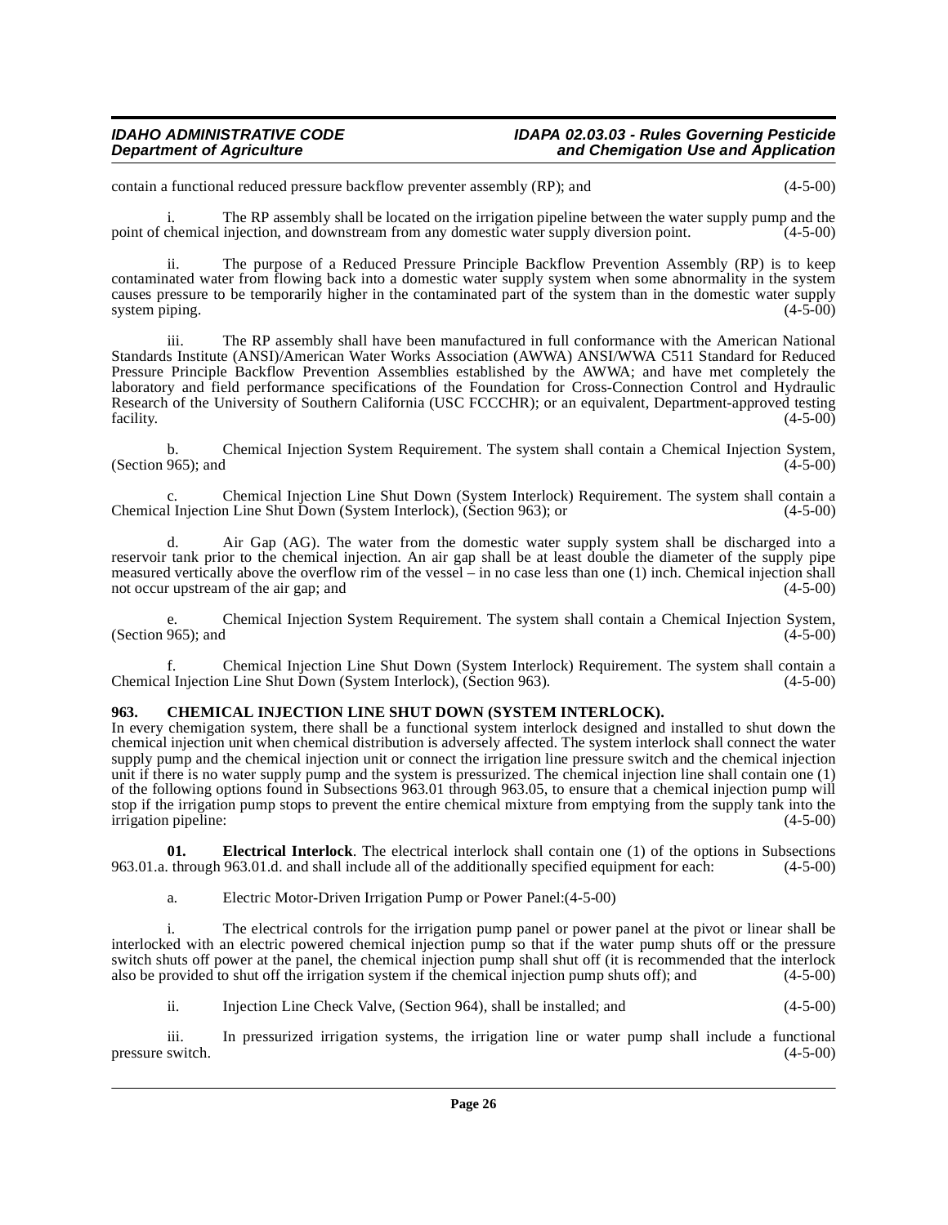contain a functional reduced pressure backflow preventer assembly (RP); and (4-5-00)

i. The RP assembly shall be located on the irrigation pipeline between the water supply pump and the point of chemical injection, and downstream from any domestic water supply diversion point. (4-5-00)

ii. The purpose of a Reduced Pressure Principle Backflow Prevention Assembly (RP) is to keep contaminated water from flowing back into a domestic water supply system when some abnormality in the system causes pressure to be temporarily higher in the contaminated part of the system than in the domestic water supply system piping. (4-5-00)

iii. The RP assembly shall have been manufactured in full conformance with the American National Standards Institute (ANSI)/American Water Works Association (AWWA) ANSI/WWA C511 Standard for Reduced Pressure Principle Backflow Prevention Assemblies established by the AWWA; and have met completely the laboratory and field performance specifications of the Foundation for Cross-Connection Control and Hydraulic Research of the University of Southern California (USC FCCCHR); or an equivalent, Department-approved testing facility. (4-5-00) facility.  $(4-5-00)$ 

b. Chemical Injection System Requirement. The system shall contain a Chemical Injection System, (Section 965); and  $(4-5-00)$ 

Chemical Injection Line Shut Down (System Interlock) Requirement. The system shall contain a<br>n Line Shut Down (System Interlock). (Section 963): or (4-5-00) Chemical Injection Line Shut Down (System Interlock), (Section 963); or

d. Air Gap (AG). The water from the domestic water supply system shall be discharged into a reservoir tank prior to the chemical injection. An air gap shall be at least double the diameter of the supply pipe measured vertically above the overflow rim of the vessel – in no case less than one (1) inch. Chemical injection shall not occur upstream of the air gap; and  $(4-5-00)$ not occur upstream of the air gap; and

e. Chemical Injection System Requirement. The system shall contain a Chemical Injection System, (Section 965); and

f. Chemical Injection Line Shut Down (System Interlock) Requirement. The system shall contain a Chemical Injection Line Shut Down (System Interlock), (Section 963).

### <span id="page-25-1"></span><span id="page-25-0"></span>**963. CHEMICAL INJECTION LINE SHUT DOWN (SYSTEM INTERLOCK).**

In every chemigation system, there shall be a functional system interlock designed and installed to shut down the chemical injection unit when chemical distribution is adversely affected. The system interlock shall connect the water supply pump and the chemical injection unit or connect the irrigation line pressure switch and the chemical injection unit if there is no water supply pump and the system is pressurized. The chemical injection line shall contain one (1) of the following options found in Subsections 963.01 through 963.05, to ensure that a chemical injection pump will stop if the irrigation pump stops to prevent the entire chemical mixture from emptying from the supply tank into the irrigation pipeline: (4-5-00)

**01. Electrical Interlock**. The electrical interlock shall contain one (1) of the options in Subsections . through 963.01.d. and shall include all of the additionally specified equipment for each:  $(4-5-00)$ 963.01.a. through 963.01.d. and shall include all of the additionally specified equipment for each:

<span id="page-25-2"></span>a. Electric Motor-Driven Irrigation Pump or Power Panel:(4-5-00)

i. The electrical controls for the irrigation pump panel or power panel at the pivot or linear shall be interlocked with an electric powered chemical injection pump so that if the water pump shuts off or the pressure switch shuts off power at the panel, the chemical injection pump shall shut off (it is recommended that the interlock also be provided to shut off the irrigation system if the chemical injection pump shuts off); and (4-5-00)

ii. Injection Line Check Valve, (Section 964), shall be installed; and (4-5-00)

iii. In pressurized irrigation systems, the irrigation line or water pump shall include a functional switch. (4-5-00) pressure switch.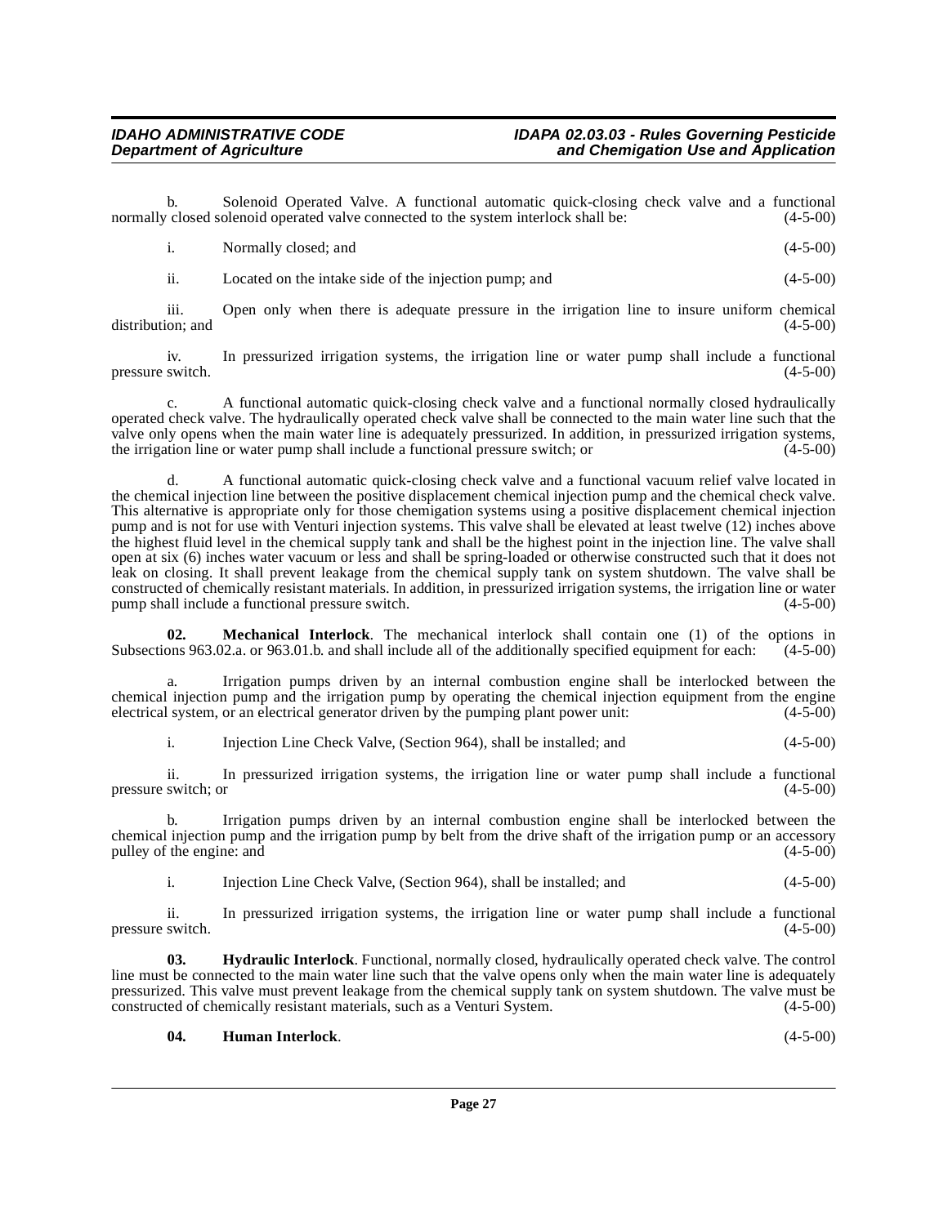b. Solenoid Operated Valve. A functional automatic quick-closing check valve and a functional closed solenoid operated valve connected to the system interlock shall be: (4-5-00) normally closed solenoid operated valve connected to the system interlock shall be:

|  | Normally closed; and |  | $(4-5-00)$ |
|--|----------------------|--|------------|
|--|----------------------|--|------------|

ii. Located on the intake side of the injection pump; and (4-5-00)

iii. Open only when there is adequate pressure in the irrigation line to insure uniform chemical distribution; and (4-5-00)

iv. In pressurized irrigation systems, the irrigation line or water pump shall include a functional pressure switch.

c. A functional automatic quick-closing check valve and a functional normally closed hydraulically operated check valve. The hydraulically operated check valve shall be connected to the main water line such that the valve only opens when the main water line is adequately pressurized. In addition, in pressurized irrigation systems, the irrigation line or water pump shall include a functional pressure switch; or (4-5-00) the irrigation line or water pump shall include a functional pressure switch; or

d. A functional automatic quick-closing check valve and a functional vacuum relief valve located in the chemical injection line between the positive displacement chemical injection pump and the chemical check valve. This alternative is appropriate only for those chemigation systems using a positive displacement chemical injection pump and is not for use with Venturi injection systems. This valve shall be elevated at least twelve (12) inches above the highest fluid level in the chemical supply tank and shall be the highest point in the injection line. The valve shall open at six (6) inches water vacuum or less and shall be spring-loaded or otherwise constructed such that it does not leak on closing. It shall prevent leakage from the chemical supply tank on system shutdown. The valve shall be constructed of chemically resistant materials. In addition, in pressurized irrigation systems, the irrigation line or water pump shall include a functional pressure switch.

<span id="page-26-2"></span>**02. Mechanical Interlock**. The mechanical interlock shall contain one (1) of the options in one 963.02.a. or 963.01.b. and shall include all of the additionally specified equipment for each: (4-5-00) Subsections 963.02.a. or 963.01.b. and shall include all of the additionally specified equipment for each:

a. Irrigation pumps driven by an internal combustion engine shall be interlocked between the chemical injection pump and the irrigation pump by operating the chemical injection equipment from the engine electrical system, or an electrical generator driven by the pumping plant power unit: (4-5-00) electrical system, or an electrical generator driven by the pumping plant power unit:

i. Injection Line Check Valve, (Section 964), shall be installed; and (4-5-00)

ii. In pressurized irrigation systems, the irrigation line or water pump shall include a functional pressure switch; or

b. Irrigation pumps driven by an internal combustion engine shall be interlocked between the chemical injection pump and the irrigation pump by belt from the drive shaft of the irrigation pump or an accessory pulley of the engine: and (4-5-00) pulley of the engine: and

<span id="page-26-1"></span>i. Injection Line Check Valve, (Section 964), shall be installed; and (4-5-00)

ii. In pressurized irrigation systems, the irrigation line or water pump shall include a functional pressure switch.

**03. Hydraulic Interlock**. Functional, normally closed, hydraulically operated check valve. The control line must be connected to the main water line such that the valve opens only when the main water line is adequately pressurized. This valve must prevent leakage from the chemical supply tank on system shutdown. The valve must be constructed of chemically resistant materials, such as a Venturi System. (4-5-00) constructed of chemically resistant materials, such as a Venturi System.

<span id="page-26-0"></span>

| 04. | <b>Human Interlock.</b> | $(4-5-00)$ |
|-----|-------------------------|------------|
|-----|-------------------------|------------|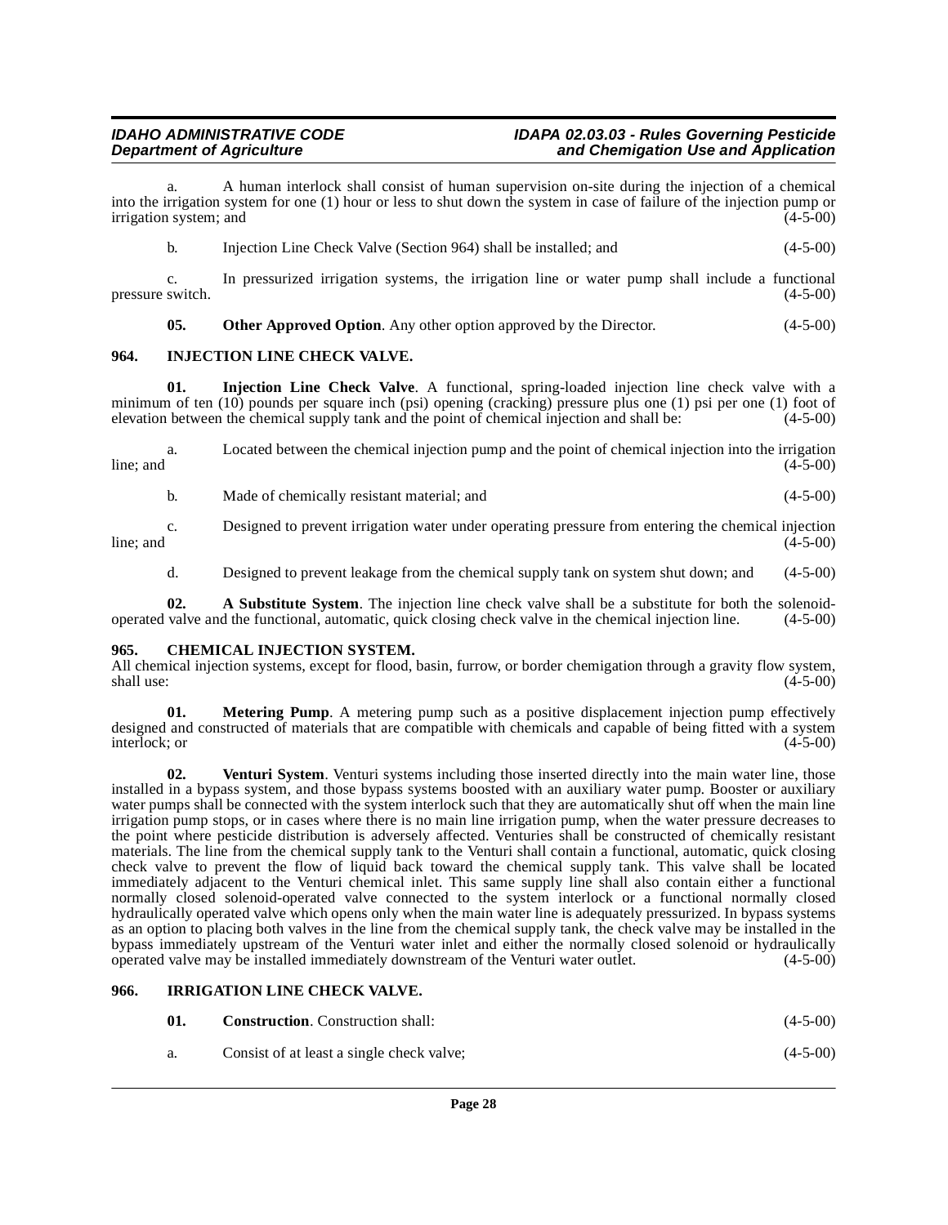a. A human interlock shall consist of human supervision on-site during the injection of a chemical into the irrigation system for one (1) hour or less to shut down the system in case of failure of the injection pump or irrigation system; and

| b. |  | Injection Line Check Valve (Section 964) shall be installed; and | $(4-5-00)$ |
|----|--|------------------------------------------------------------------|------------|
|----|--|------------------------------------------------------------------|------------|

c. In pressurized irrigation systems, the irrigation line or water pump shall include a functional pressure switch. (4-5-00)

<span id="page-27-5"></span>**05.** Other Approved Option. Any other option approved by the Director.  $(4-5-00)$ 

#### <span id="page-27-0"></span>**964. INJECTION LINE CHECK VALVE.**

**01. Injection Line Check Valve**. A functional, spring-loaded injection line check valve with a minimum of ten (10) pounds per square inch (psi) opening (cracking) pressure plus one (1) psi per one (1) foot of elevation between the chemical supply tank and the point of chemical injection and shall be: (4-5-00)

a. Located between the chemical injection pump and the point of chemical injection into the irrigation  $\lim_{x \to 0}$  and  $(4-5-00)$ 

b. Made of chemically resistant material; and (4-5-00)

c. Designed to prevent irrigation water under operating pressure from entering the chemical injection  $\mu$  line; and  $(4-5-00)$ 

<span id="page-27-3"></span>d. Designed to prevent leakage from the chemical supply tank on system shut down; and (4-5-00)

**02. A Substitute System**. The injection line check valve shall be a substitute for both the solenoidoperated valve and the functional, automatic, quick closing check valve in the chemical injection line. (4-5-00)

#### <span id="page-27-4"></span><span id="page-27-1"></span>**965. CHEMICAL INJECTION SYSTEM.**

All chemical injection systems, except for flood, basin, furrow, or border chemigation through a gravity flow system, shall use: (4-5-00)  $\text{shall use:}$  (4-5-00)

<span id="page-27-7"></span>**01.** Metering Pump. A metering pump such as a positive displacement injection pump effectively designed and constructed of materials that are compatible with chemicals and capable of being fitted with a system<br>interlock: or (4-5-00) interlock; or (4-5-00)

<span id="page-27-8"></span>**02.** Venturi System. Venturi systems including those inserted directly into the main water line, those installed in a bypass system, and those bypass systems boosted with an auxiliary water pump. Booster or auxiliary water pumps shall be connected with the system interlock such that they are automatically shut off when the main line irrigation pump stops, or in cases where there is no main line irrigation pump, when the water pressure decreases to the point where pesticide distribution is adversely affected. Venturies shall be constructed of chemically resistant materials. The line from the chemical supply tank to the Venturi shall contain a functional, automatic, quick closing check valve to prevent the flow of liquid back toward the chemical supply tank. This valve shall be located immediately adjacent to the Venturi chemical inlet. This same supply line shall also contain either a functional normally closed solenoid-operated valve connected to the system interlock or a functional normally closed hydraulically operated valve which opens only when the main water line is adequately pressurized. In bypass systems as an option to placing both valves in the line from the chemical supply tank, the check valve may be installed in the bypass immediately upstream of the Venturi water inlet and either the normally closed solenoid or hydraulically operated valve may be installed immediately downstream of the Venturi water outlet. (4-5-00) operated valve may be installed immediately downstream of the Venturi water outlet.

#### <span id="page-27-2"></span>**966. IRRIGATION LINE CHECK VALVE.**

<span id="page-27-6"></span>

| 01. | <b>Construction.</b> Construction shall:  | $(4-5-00)$ |
|-----|-------------------------------------------|------------|
|     | Consist of at least a single check valve; | $(4-5-00)$ |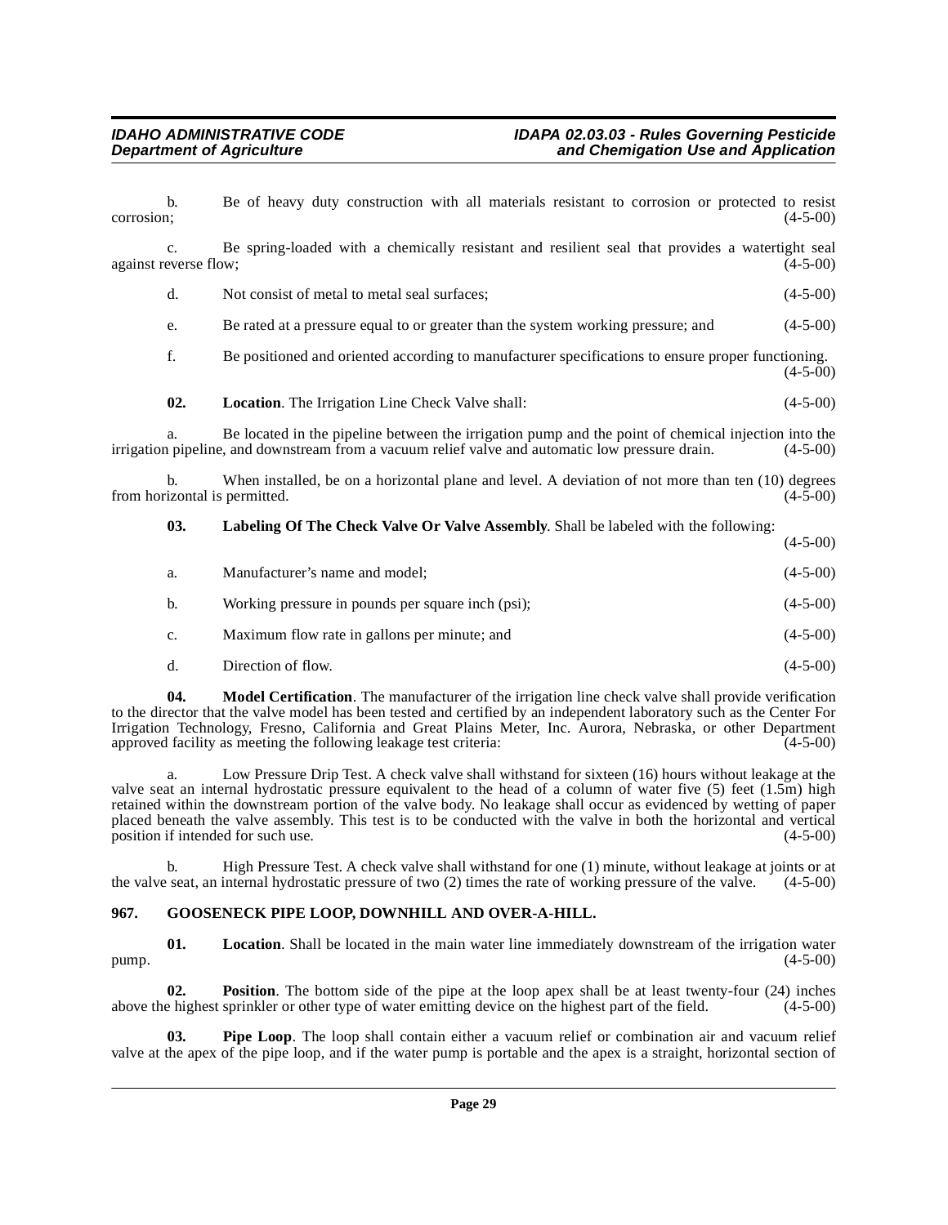b. Be of heavy duty construction with all materials resistant to corrosion or protected to resist corrosion; (4-5-00)  $\frac{4-5-00}{2}$ c. Be spring-loaded with a chemically resistant and resilient seal that provides a watertight seal against reverse flow; (4-5-00) d. Not consist of metal to metal seal surfaces; (4-5-00) e. Be rated at a pressure equal to or greater than the system working pressure; and (4-5-00) f. Be positioned and oriented according to manufacturer specifications to ensure proper functioning.  $(4-5-00)$ **02.** Location. The Irrigation Line Check Valve shall: (4-5-00) a. Be located in the pipeline between the irrigation pump and the point of chemical injection into the upipeline, and downstream from a vacuum relief valve and automatic low pressure drain. (4-5-00) irrigation pipeline, and downstream from a vacuum relief valve and automatic low pressure drain. b. When installed, be on a horizontal plane and level. A deviation of not more than ten (10) degrees izontal is permitted. (4-5-00) from horizontal is permitted. **03. Labeling Of The Check Valve Or Valve Assembly**. Shall be labeled with the following:  $(4-5-00)$ a. Manufacturer's name and model; (4-5-00)

<span id="page-28-3"></span><span id="page-28-2"></span>

| b. | Working pressure in pounds per square inch (psi); | $(4-5-00)$ |
|----|---------------------------------------------------|------------|
| C. | Maximum flow rate in gallons per minute; and      | $(4-5-00)$ |
|    | Direction of flow.                                | $(4-5-00)$ |

**04.** Model Certification. The manufacturer of the irrigation line check valve shall provide verification to the director that the valve model has been tested and certified by an independent laboratory such as the Center For Irrigation Technology, Fresno, California and Great Plains Meter, Inc. Aurora, Nebraska, or other Department approved facility as meeting the following leakage test criteria: (4-5-00)

a. Low Pressure Drip Test. A check valve shall withstand for sixteen (16) hours without leakage at the valve seat an internal hydrostatic pressure equivalent to the head of a column of water five (5) feet (1.5m) high retained within the downstream portion of the valve body. No leakage shall occur as evidenced by wetting of paper placed beneath the valve assembly. This test is to be conducted with the valve in both the horizontal and vertical position if intended for such use. (4-5-00)

b. High Pressure Test. A check valve shall withstand for one (1) minute, without leakage at joints or at est, an internal hydrostatic pressure of two (2) times the rate of working pressure of the valve. (4-5-00) the valve seat, an internal hydrostatic pressure of two  $(2)$  times the rate of working pressure of the valve.

### <span id="page-28-1"></span><span id="page-28-0"></span>**967. GOOSENECK PIPE LOOP, DOWNHILL AND OVER-A-HILL.**

**01.** Location. Shall be located in the main water line immediately downstream of the irrigation water (4-5-00)  $pump.$  (4-5-00)

**02. Position**. The bottom side of the pipe at the loop apex shall be at least twenty-four (24) inches e highest sprinkler or other type of water emitting device on the highest part of the field. (4-5-00) above the highest sprinkler or other type of water emitting device on the highest part of the field.

**Pipe Loop**. The loop shall contain either a vacuum relief or combination air and vacuum relief valve at the apex of the pipe loop, and if the water pump is portable and the apex is a straight, horizontal section of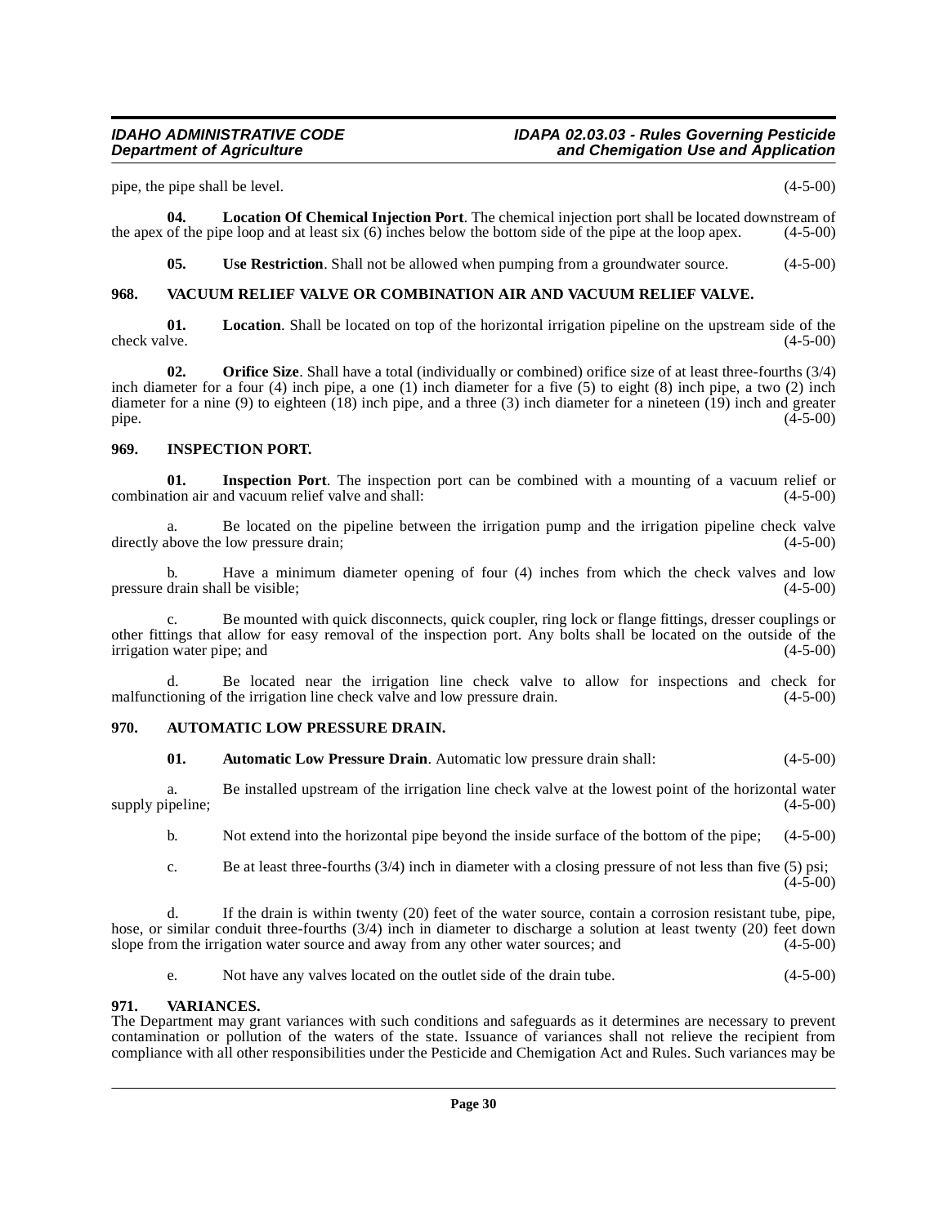pipe, the pipe shall be level. (4-5-00)

**04. Location Of Chemical Injection Port**. The chemical injection port shall be located downstream of the apex of the pipe loop and at least six  $(6)$  inches below the bottom side of the pipe at the loop apex.  $(4-5-00)$ 

<span id="page-29-7"></span><span id="page-29-6"></span>**05.** Use Restriction. Shall not be allowed when pumping from a groundwater source.  $(4-5-00)$ 

#### <span id="page-29-0"></span>**968. VACUUM RELIEF VALVE OR COMBINATION AIR AND VACUUM RELIEF VALVE.**

**01.** Location. Shall be located on top of the horizontal irrigation pipeline on the upstream side of the check valve.  $(4-5-00)$ check valve.  $(4-5-00)$ 

**02. Orifice Size**. Shall have a total (individually or combined) orifice size of at least three-fourths (3/4) inch diameter for a four (4) inch pipe, a one (1) inch diameter for a five (5) to eight (8) inch pipe, a two (2) inch diameter for a nine (9) to eighteen (18) inch pipe, and a three (3) inch diameter for a nineteen (19) inch and greater pipe.  $(4-5-00)$ 

#### <span id="page-29-5"></span><span id="page-29-1"></span>**969. INSPECTION PORT.**

**01.** Inspection Port. The inspection port can be combined with a mounting of a vacuum relief or tion air and vacuum relief valve and shall:  $(4-5-00)$ combination air and vacuum relief valve and shall:

a. Be located on the pipeline between the irrigation pump and the irrigation pipeline check valve above the low pressure drain; (4-5-00) directly above the low pressure drain;

b. Have a minimum diameter opening of four (4) inches from which the check valves and low drain shall be visible; (4-5-00) pressure drain shall be visible;

Be mounted with quick disconnects, quick coupler, ring lock or flange fittings, dresser couplings or other fittings that allow for easy removal of the inspection port. Any bolts shall be located on the outside of the irrigation water pipe; and

d. Be located near the irrigation line check valve to allow for inspections and check for malfunctioning of the irrigation line check valve and low pressure drain. (4-5-00)

#### <span id="page-29-2"></span>**970. AUTOMATIC LOW PRESSURE DRAIN.**

<span id="page-29-4"></span>**01. Automatic Low Pressure Drain**. Automatic low pressure drain shall: (4-5-00)

a. Be installed upstream of the irrigation line check valve at the lowest point of the horizontal water supply pipeline; (4-5-00)

b. Not extend into the horizontal pipe beyond the inside surface of the bottom of the pipe; (4-5-00)

c. Be at least three-fourths (3/4) inch in diameter with a closing pressure of not less than five (5) psi;  $(4 - 5 - 00)$ 

d. If the drain is within twenty (20) feet of the water source, contain a corrosion resistant tube, pipe, hose, or similar conduit three-fourths  $(3/4)$  inch in diameter to discharge a solution at least twenty  $(20)$  feet down slope from the irrigation water source and away from any other water sources; and  $(4-5-00)$ slope from the irrigation water source and away from any other water sources; and

<span id="page-29-8"></span>e. Not have any valves located on the outlet side of the drain tube. (4-5-00)

#### <span id="page-29-3"></span>**971. VARIANCES.**

The Department may grant variances with such conditions and safeguards as it determines are necessary to prevent contamination or pollution of the waters of the state. Issuance of variances shall not relieve the recipient from compliance with all other responsibilities under the Pesticide and Chemigation Act and Rules. Such variances may be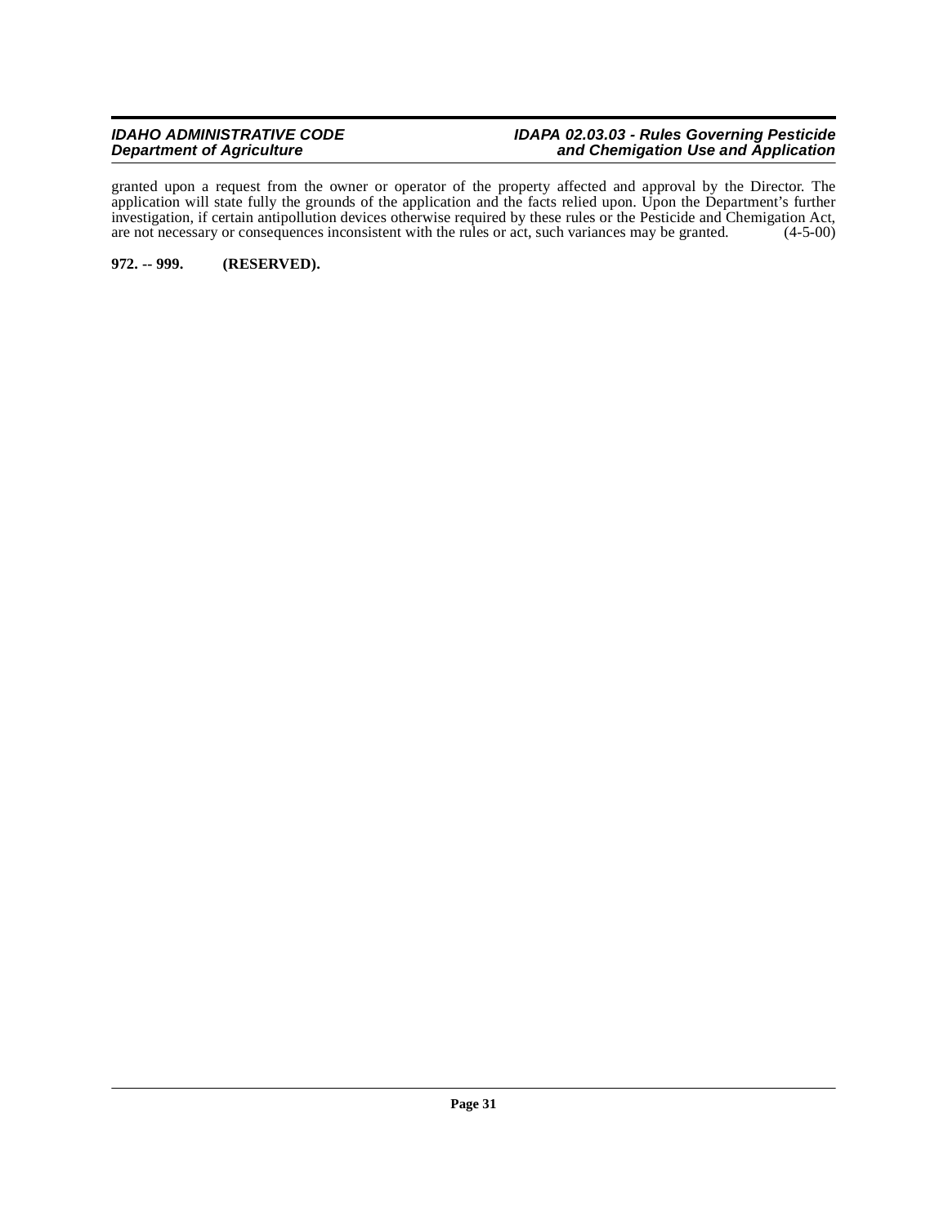#### **IDAHO ADMINISTRATIVE CODE IDAPA 02.03.03 - Rules Governing Pesticide Department of Agriculture and Chemigation Use and Application**

granted upon a request from the owner or operator of the property affected and approval by the Director. The application will state fully the grounds of the application and the facts relied upon. Upon the Department's further investigation, if certain antipollution devices otherwise required by these rules or the Pesticide and Chemigation Act, are not necessary or consequences inconsistent with the rules or act, such variances may be granted. ( are not necessary or consequences inconsistent with the rules or act, such variances may be granted.

### <span id="page-30-0"></span>**972. -- 999. (RESERVED).**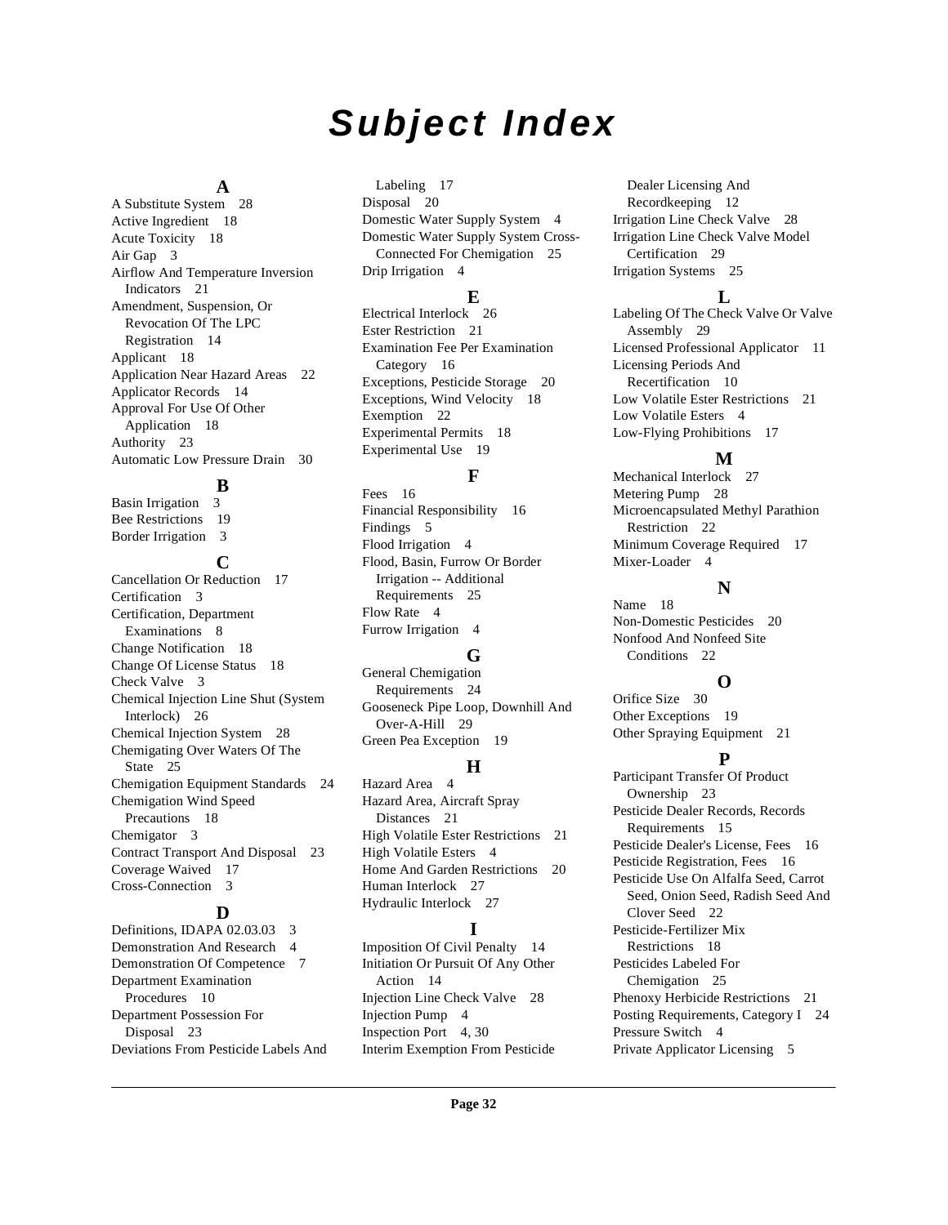# **Subject Index**

#### **A**

A Substitute System [28](#page-27-3) Active Ingredient [18](#page-17-6) Acute Toxicity [18](#page-17-7) Air Gap [3](#page-2-6) Airflow And Temperature Inversion Indicators [21](#page-20-3) Amendment, Suspension, Or Revocation Of The LPC Registration [14](#page-13-3) Applicant [18](#page-17-8) Application Near Hazard Areas [22](#page-21-5) Applicator Records [14](#page-13-4) Approval For Use Of Other Application [18](#page-17-9) Authority [23](#page-22-1) Automatic Low Pressure Drain [30](#page-29-4)

# **B**

Basin Irrigation Bee Restrictions [19](#page-18-4) Border Irrigation [3](#page-2-8)

#### **C**

Cancellation Or Reduction [17](#page-16-4) Certification [3](#page-2-9) Certification, Department Examinations [8](#page-7-0) Change Notification [18](#page-17-10) Change Of License Status [18](#page-17-11) Check Valve [3](#page-2-10) Chemical Injection Line Shut (System Interlock) [26](#page-25-1) Chemical Injection System [28](#page-27-4) Chemigating Over Waters Of The State [25](#page-24-0) Chemigation Equipment Standards [24](#page-23-2) Chemigation Wind Speed Precautions [18](#page-17-12) Chemigator [3](#page-2-11) Contract Transport And Disposal [23](#page-22-2) Coverage Waived [17](#page-16-5) Cross-Connection [3](#page-2-12)

# **D**

Definitions, IDAPA 02.03.03 [3](#page-2-13) Demonstration And Research [4](#page-3-0) Demonstration Of Competence [7](#page-6-2) Department Examination Procedures [10](#page-9-0) Department Possession For Disposal [23](#page-22-3) Deviations From Pesticide Labels And

Labeling [17](#page-16-6) Disposal [20](#page-19-2) Domestic Water Supply System [4](#page-3-1) Domestic Water Supply System Cross-Connected For Chemigation [25](#page-24-1) Drip Irrigation [4](#page-3-2)

### **E**

Electrical Interlock [26](#page-25-2) Ester Restriction [21](#page-20-4) Examination Fee Per Examination Category [16](#page-15-4) Exceptions, Pesticide Storage [20](#page-19-3) Exceptions, Wind Velocity [18](#page-17-13) Exemption [22](#page-21-6) Experimental Permits [18](#page-17-14) Experimental Use [19](#page-18-5)

### **F**

Fees [16](#page-15-5) Financial Responsibility [16](#page-15-6) Findings [5](#page-4-4) Flood Irrigation [4](#page-3-3) Flood, Basin, Furrow Or Border Irrigation -- Additional Requirements [25](#page-24-2) Flow Rate [4](#page-3-4) Furrow Irrigation [4](#page-3-5)

### **G**

General Chemigation Requirements [24](#page-23-3) Gooseneck Pipe Loop, Downhill And Over-A-Hill [29](#page-28-1) Green Pea Exception [19](#page-18-6)

# **H**

Hazard Area [4](#page-3-6) Hazard Area, Aircraft Spray Distances [21](#page-20-5) High Volatile Ester Restrictions [21](#page-20-6) High Volatile Esters [4](#page-3-7) Home And Garden Restrictions [20](#page-19-4) Human Interlock [27](#page-26-0) Hydraulic Interlock [27](#page-26-1)

### **I**

Imposition Of Civil Penalty [14](#page-13-5) Initiation Or Pursuit Of Any Other Action [14](#page-13-6) Injection Line Check Valve [28](#page-27-5) Injection Pump [4](#page-3-8) Inspection Port [4](#page-3-9), [30](#page-29-5) Interim Exemption From Pesticide

Dealer Licensing And Recordkeeping [12](#page-11-1) Irrigation Line Check Valve [28](#page-27-6) Irrigation Line Check Valve Model Certification [29](#page-28-2) Irrigation Systems [25](#page-24-3)

## **L**

Labeling Of The Check Valve Or Valve Assembly [29](#page-28-3) Licensed Professional Applicator [11](#page-10-0) Licensing Periods And Recertification [10](#page-9-1) Low Volatile Ester Restrictions [21](#page-20-7) Low Volatile Esters [4](#page-3-10) Low-Flying Prohibitions [17](#page-16-7)

### **M**

Mechanical Interlock [27](#page-26-2) Metering Pump [28](#page-27-7) Microencapsulated Methyl Parathion Restriction [22](#page-21-7) Minimum Coverage Required [17](#page-16-8) Mixer-Loader [4](#page-3-11)

**N**

Name [18](#page-17-15) Non-Domestic Pesticides [20](#page-19-5) Nonfood And Nonfeed Site Conditions [22](#page-21-8)

### **O**

Orifice Size [30](#page-29-6) Other Exceptions [19](#page-18-7) Other Spraying Equipment [21](#page-20-8)

### **P**

Participant Transfer Of Product Ownership [23](#page-22-4) Pesticide Dealer Records, Records Requirements [15](#page-14-0) Pesticide Dealer's License, Fees [16](#page-15-7) Pesticide Registration, Fees [16](#page-15-8) Pesticide Use On Alfalfa Seed, Carrot Seed, Onion Seed, Radish Seed And Clover Seed [22](#page-21-9) Pesticide-Fertilizer Mix Restrictions [18](#page-17-16) Pesticides Labeled For Chemigation [25](#page-24-4) Phenoxy Herbicide Restrictions [21](#page-20-9) Posting Requirements, Category I [24](#page-23-4) Pressure Switch [4](#page-3-12) Private Applicator Licensing [5](#page-4-5)